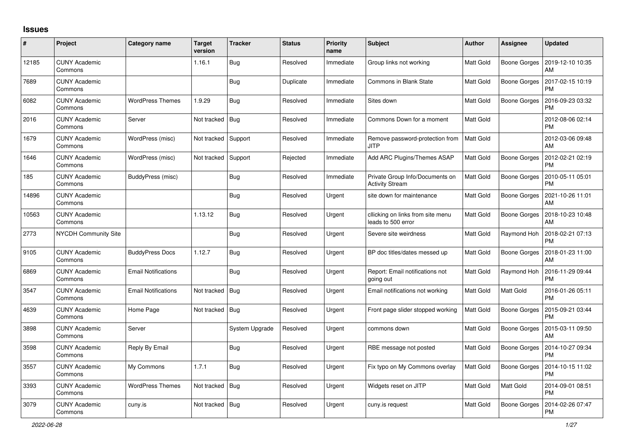## **Issues**

| $\pmb{\#}$ | Project                         | Category name              | <b>Target</b><br>version | <b>Tracker</b> | <b>Status</b> | <b>Priority</b><br>name | Subject                                                   | <b>Author</b>    | <b>Assignee</b>     | <b>Updated</b>                        |
|------------|---------------------------------|----------------------------|--------------------------|----------------|---------------|-------------------------|-----------------------------------------------------------|------------------|---------------------|---------------------------------------|
| 12185      | <b>CUNY Academic</b><br>Commons |                            | 1.16.1                   | Bug            | Resolved      | Immediate               | Group links not working                                   | <b>Matt Gold</b> | <b>Boone Gorges</b> | 2019-12-10 10:35<br>AM                |
| 7689       | <b>CUNY Academic</b><br>Commons |                            |                          | Bug            | Duplicate     | Immediate               | Commons in Blank State                                    | Matt Gold        | Boone Gorges        | 2017-02-15 10:19<br><b>PM</b>         |
| 6082       | <b>CUNY Academic</b><br>Commons | <b>WordPress Themes</b>    | 1.9.29                   | Bug            | Resolved      | Immediate               | Sites down                                                | <b>Matt Gold</b> | <b>Boone Gorges</b> | 2016-09-23 03:32<br><b>PM</b>         |
| 2016       | <b>CUNY Academic</b><br>Commons | Server                     | Not tracked              | <b>Bug</b>     | Resolved      | Immediate               | Commons Down for a moment                                 | Matt Gold        |                     | 2012-08-06 02:14<br><b>PM</b>         |
| 1679       | <b>CUNY Academic</b><br>Commons | WordPress (misc)           | Not tracked              | Support        | Resolved      | Immediate               | Remove password-protection from<br><b>JITP</b>            | Matt Gold        |                     | 2012-03-06 09:48<br>AM                |
| 1646       | <b>CUNY Academic</b><br>Commons | WordPress (misc)           | Not tracked              | Support        | Rejected      | Immediate               | Add ARC Plugins/Themes ASAP                               | Matt Gold        | Boone Gorges        | 2012-02-21 02:19<br><b>PM</b>         |
| 185        | <b>CUNY Academic</b><br>Commons | BuddyPress (misc)          |                          | Bug            | Resolved      | Immediate               | Private Group Info/Documents on<br><b>Activity Stream</b> | <b>Matt Gold</b> | <b>Boone Gorges</b> | 2010-05-11 05:01<br><b>PM</b>         |
| 14896      | <b>CUNY Academic</b><br>Commons |                            |                          | Bug            | Resolved      | Urgent                  | site down for maintenance                                 | Matt Gold        | Boone Gorges        | 2021-10-26 11:01<br>AM                |
| 10563      | <b>CUNY Academic</b><br>Commons |                            | 1.13.12                  | <b>Bug</b>     | Resolved      | Urgent                  | cllicking on links from site menu<br>leads to 500 error   | <b>Matt Gold</b> |                     | Boone Gorges   2018-10-23 10:48<br>AM |
| 2773       | <b>NYCDH Community Site</b>     |                            |                          | Bug            | Resolved      | Urgent                  | Severe site weirdness                                     | Matt Gold        | Raymond Hoh         | 2018-02-21 07:13<br><b>PM</b>         |
| 9105       | <b>CUNY Academic</b><br>Commons | <b>BuddyPress Docs</b>     | 1.12.7                   | Bug            | Resolved      | Urgent                  | BP doc titles/dates messed up                             | <b>Matt Gold</b> | <b>Boone Gorges</b> | 2018-01-23 11:00<br>AM                |
| 6869       | <b>CUNY Academic</b><br>Commons | <b>Email Notifications</b> |                          | Bug            | Resolved      | Urgent                  | Report: Email notifications not<br>going out              | Matt Gold        | Raymond Hoh         | 2016-11-29 09:44<br><b>PM</b>         |
| 3547       | <b>CUNY Academic</b><br>Commons | <b>Email Notifications</b> | Not tracked              | Bug            | Resolved      | Urgent                  | Email notifications not working                           | <b>Matt Gold</b> | Matt Gold           | 2016-01-26 05:11<br><b>PM</b>         |
| 4639       | <b>CUNY Academic</b><br>Commons | Home Page                  | Not tracked              | Bug            | Resolved      | Urgent                  | Front page slider stopped working                         | Matt Gold        | Boone Gorges        | 2015-09-21 03:44<br><b>PM</b>         |
| 3898       | <b>CUNY Academic</b><br>Commons | Server                     |                          | System Upgrade | Resolved      | Urgent                  | commons down                                              | <b>Matt Gold</b> | <b>Boone Gorges</b> | 2015-03-11 09:50<br>AM                |
| 3598       | <b>CUNY Academic</b><br>Commons | Reply By Email             |                          | Bug            | Resolved      | Urgent                  | RBE message not posted                                    | Matt Gold        | Boone Gorges        | 2014-10-27 09:34<br><b>PM</b>         |
| 3557       | <b>CUNY Academic</b><br>Commons | My Commons                 | 1.7.1                    | Bug            | Resolved      | Urgent                  | Fix typo on My Commons overlay                            | <b>Matt Gold</b> | Boone Gorges        | 2014-10-15 11:02<br><b>PM</b>         |
| 3393       | <b>CUNY Academic</b><br>Commons | <b>WordPress Themes</b>    | Not tracked              | Bug            | Resolved      | Urgent                  | Widgets reset on JITP                                     | Matt Gold        | Matt Gold           | 2014-09-01 08:51<br><b>PM</b>         |
| 3079       | <b>CUNY Academic</b><br>Commons | cuny.is                    | Not tracked              | Bug            | Resolved      | Urgent                  | cuny.is request                                           | <b>Matt Gold</b> | <b>Boone Gorges</b> | 2014-02-26 07:47<br><b>PM</b>         |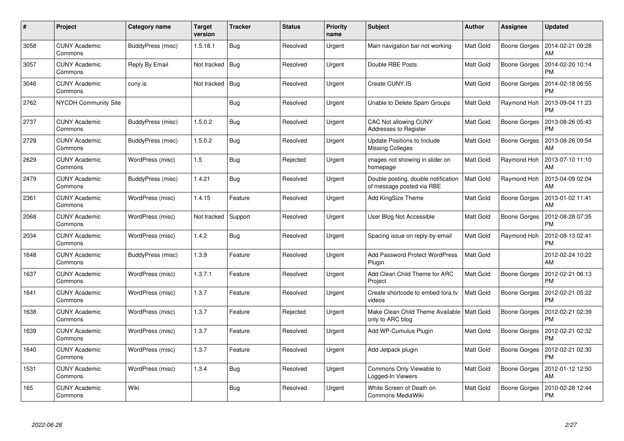| #    | Project                         | <b>Category name</b> | <b>Target</b><br>version | <b>Tracker</b> | <b>Status</b> | <b>Priority</b><br>name | <b>Subject</b>                                                   | <b>Author</b>    | <b>Assignee</b>     | <b>Updated</b>                |
|------|---------------------------------|----------------------|--------------------------|----------------|---------------|-------------------------|------------------------------------------------------------------|------------------|---------------------|-------------------------------|
| 3058 | <b>CUNY Academic</b><br>Commons | BuddyPress (misc)    | 1.5.18.1                 | <b>Bug</b>     | Resolved      | Urgent                  | Main navigation bar not working                                  | <b>Matt Gold</b> | Boone Gorges        | 2014-02-21 09:28<br>AM        |
| 3057 | <b>CUNY Academic</b><br>Commons | Reply By Email       | Not tracked              | Bug            | Resolved      | Urgent                  | Double RBE Posts                                                 | <b>Matt Gold</b> | <b>Boone Gorges</b> | 2014-02-20 10:14<br><b>PM</b> |
| 3046 | <b>CUNY Academic</b><br>Commons | cuny.is              | Not tracked              | Bug            | Resolved      | Urgent                  | Create CUNY.IS                                                   | <b>Matt Gold</b> | <b>Boone Gorges</b> | 2014-02-18 06:55<br><b>PM</b> |
| 2762 | NYCDH Community Site            |                      |                          | <b>Bug</b>     | Resolved      | Urgent                  | Unable to Delete Spam Groups                                     | Matt Gold        | Raymond Hoh         | 2013-09-04 11:23<br><b>PM</b> |
| 2737 | <b>CUNY Academic</b><br>Commons | BuddyPress (misc)    | 1.5.0.2                  | <b>Bug</b>     | Resolved      | Urgent                  | CAC Not allowing CUNY<br>Addresses to Register                   | <b>Matt Gold</b> | Boone Gorges        | 2013-08-26 05:43<br><b>PM</b> |
| 2729 | <b>CUNY Academic</b><br>Commons | BuddyPress (misc)    | 1.5.0.2                  | Bug            | Resolved      | Urgent                  | Update Positions to Include<br><b>Missing Colleges</b>           | Matt Gold        | <b>Boone Gorges</b> | 2013-08-26 09:54<br>AM        |
| 2629 | <b>CUNY Academic</b><br>Commons | WordPress (misc)     | 1.5                      | Bug            | Rejected      | Urgent                  | images not showing in slider on<br>homepage                      | <b>Matt Gold</b> | Raymond Hoh         | 2013-07-10 11:10<br>AM        |
| 2479 | <b>CUNY Academic</b><br>Commons | BuddyPress (misc)    | 1.4.21                   | Bug            | Resolved      | Urgent                  | Double posting, double notification<br>of message posted via RBE | Matt Gold        | Raymond Hoh         | 2013-04-09 02:04<br>AM        |
| 2361 | <b>CUNY Academic</b><br>Commons | WordPress (misc)     | 1.4.15                   | Feature        | Resolved      | Urgent                  | Add KingSize Theme                                               | Matt Gold        | Boone Gorges        | 2013-01-02 11:41<br>AM        |
| 2068 | <b>CUNY Academic</b><br>Commons | WordPress (misc)     | Not tracked              | Support        | Resolved      | Urgent                  | User Blog Not Accessible                                         | Matt Gold        | <b>Boone Gorges</b> | 2012-08-28 07:35<br><b>PM</b> |
| 2034 | <b>CUNY Academic</b><br>Commons | WordPress (misc)     | 1.4.2                    | Bug            | Resolved      | Urgent                  | Spacing issue on reply-by-email                                  | <b>Matt Gold</b> | Raymond Hoh         | 2012-08-13 02:41<br><b>PM</b> |
| 1648 | <b>CUNY Academic</b><br>Commons | BuddyPress (misc)    | 1.3.9                    | Feature        | Resolved      | Urgent                  | Add Password Protect WordPress<br>Plugin                         | Matt Gold        |                     | 2012-02-24 10:22<br>AM        |
| 1637 | <b>CUNY Academic</b><br>Commons | WordPress (misc)     | 1.3.7.1                  | Feature        | Resolved      | Urgent                  | Add Clean Child Theme for ARC<br>Project                         | Matt Gold        | Boone Gorges        | 2012-02-21 06:13<br><b>PM</b> |
| 1641 | <b>CUNY Academic</b><br>Commons | WordPress (misc)     | 1.3.7                    | Feature        | Resolved      | Urgent                  | Create shortcode to embed fora.tv<br>videos                      | <b>Matt Gold</b> | Boone Gorges        | 2012-02-21 05:22<br><b>PM</b> |
| 1638 | <b>CUNY Academic</b><br>Commons | WordPress (misc)     | 1.3.7                    | Feature        | Rejected      | Urgent                  | Make Clean Child Theme Available   Matt Gold<br>only to ARC blog |                  | Boone Gorges        | 2012-02-21 02:39<br><b>PM</b> |
| 1639 | <b>CUNY Academic</b><br>Commons | WordPress (misc)     | 1.3.7                    | Feature        | Resolved      | Urgent                  | Add WP-Cumulus Plugin                                            | <b>Matt Gold</b> | Boone Gorges        | 2012-02-21 02:32<br><b>PM</b> |
| 1640 | <b>CUNY Academic</b><br>Commons | WordPress (misc)     | 1.3.7                    | Feature        | Resolved      | Urgent                  | Add Jetpack plugin                                               | Matt Gold        | Boone Gorges        | 2012-02-21 02:30<br><b>PM</b> |
| 1531 | <b>CUNY Academic</b><br>Commons | WordPress (misc)     | 1.3.4                    | <b>Bug</b>     | Resolved      | Urgent                  | Commons Only Viewable to<br>Logged-In Viewers                    | Matt Gold        | Boone Gorges        | 2012-01-12 12:50<br>AM        |
| 165  | <b>CUNY Academic</b><br>Commons | Wiki                 |                          | Bug            | Resolved      | Urgent                  | White Screen of Death on<br>Commons MediaWiki                    | <b>Matt Gold</b> | Boone Gorges        | 2010-02-28 12:44<br><b>PM</b> |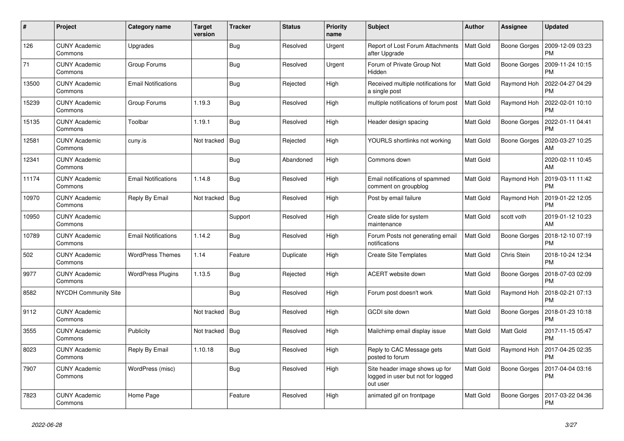| $\#$  | Project                         | Category name              | <b>Target</b><br>version | <b>Tracker</b> | <b>Status</b> | <b>Priority</b><br>name | <b>Subject</b>                                                                  | <b>Author</b>    | Assignee            | <b>Updated</b>                |
|-------|---------------------------------|----------------------------|--------------------------|----------------|---------------|-------------------------|---------------------------------------------------------------------------------|------------------|---------------------|-------------------------------|
| 126   | <b>CUNY Academic</b><br>Commons | Upgrades                   |                          | Bug            | Resolved      | Urgent                  | Report of Lost Forum Attachments<br>after Upgrade                               | <b>Matt Gold</b> | Boone Gorges        | 2009-12-09 03:23<br><b>PM</b> |
| 71    | <b>CUNY Academic</b><br>Commons | Group Forums               |                          | <b>Bug</b>     | Resolved      | Urgent                  | Forum of Private Group Not<br>Hidden                                            | Matt Gold        | <b>Boone Gorges</b> | 2009-11-24 10:15<br><b>PM</b> |
| 13500 | <b>CUNY Academic</b><br>Commons | <b>Email Notifications</b> |                          | Bug            | Rejected      | High                    | Received multiple notifications for<br>a single post                            | Matt Gold        | Raymond Hoh         | 2022-04-27 04:29<br><b>PM</b> |
| 15239 | <b>CUNY Academic</b><br>Commons | Group Forums               | 1.19.3                   | <b>Bug</b>     | Resolved      | High                    | multiple notifications of forum post                                            | <b>Matt Gold</b> | Raymond Hoh         | 2022-02-01 10:10<br><b>PM</b> |
| 15135 | <b>CUNY Academic</b><br>Commons | Toolbar                    | 1.19.1                   | <b>Bug</b>     | Resolved      | High                    | Header design spacing                                                           | Matt Gold        | <b>Boone Gorges</b> | 2022-01-11 04:41<br><b>PM</b> |
| 12581 | <b>CUNY Academic</b><br>Commons | cuny.is                    | Not tracked              | Bug            | Rejected      | High                    | YOURLS shortlinks not working                                                   | <b>Matt Gold</b> | Boone Gorges        | 2020-03-27 10:25<br>AM        |
| 12341 | <b>CUNY Academic</b><br>Commons |                            |                          | Bug            | Abandoned     | High                    | Commons down                                                                    | Matt Gold        |                     | 2020-02-11 10:45<br>AM        |
| 11174 | <b>CUNY Academic</b><br>Commons | <b>Email Notifications</b> | 1.14.8                   | <b>Bug</b>     | Resolved      | High                    | Email notifications of spammed<br>comment on groupblog                          | <b>Matt Gold</b> | Raymond Hoh         | 2019-03-11 11:42<br><b>PM</b> |
| 10970 | <b>CUNY Academic</b><br>Commons | Reply By Email             | Not tracked              | Bug            | Resolved      | High                    | Post by email failure                                                           | Matt Gold        | Raymond Hoh         | 2019-01-22 12:05<br><b>PM</b> |
| 10950 | <b>CUNY Academic</b><br>Commons |                            |                          | Support        | Resolved      | High                    | Create slide for system<br>maintenance                                          | Matt Gold        | scott voth          | 2019-01-12 10:23<br>AM        |
| 10789 | <b>CUNY Academic</b><br>Commons | <b>Email Notifications</b> | 1.14.2                   | <b>Bug</b>     | Resolved      | High                    | Forum Posts not generating email<br>notifications                               | <b>Matt Gold</b> | <b>Boone Gorges</b> | 2018-12-10 07:19<br><b>PM</b> |
| 502   | <b>CUNY Academic</b><br>Commons | <b>WordPress Themes</b>    | 1.14                     | Feature        | Duplicate     | High                    | <b>Create Site Templates</b>                                                    | Matt Gold        | Chris Stein         | 2018-10-24 12:34<br><b>PM</b> |
| 9977  | <b>CUNY Academic</b><br>Commons | <b>WordPress Plugins</b>   | 1.13.5                   | Bug            | Rejected      | High                    | ACERT website down                                                              | Matt Gold        | Boone Gorges        | 2018-07-03 02:09<br><b>PM</b> |
| 8582  | <b>NYCDH Community Site</b>     |                            |                          | Bug            | Resolved      | High                    | Forum post doesn't work                                                         | Matt Gold        | Raymond Hoh         | 2018-02-21 07:13<br><b>PM</b> |
| 9112  | <b>CUNY Academic</b><br>Commons |                            | Not tracked              | Bug            | Resolved      | High                    | GCDI site down                                                                  | <b>Matt Gold</b> | <b>Boone Gorges</b> | 2018-01-23 10:18<br><b>PM</b> |
| 3555  | <b>CUNY Academic</b><br>Commons | Publicity                  | Not tracked              | Bug            | Resolved      | High                    | Mailchimp email display issue                                                   | Matt Gold        | Matt Gold           | 2017-11-15 05:47<br><b>PM</b> |
| 8023  | <b>CUNY Academic</b><br>Commons | Reply By Email             | 1.10.18                  | Bug            | Resolved      | High                    | Reply to CAC Message gets<br>posted to forum                                    | Matt Gold        | Raymond Hoh         | 2017-04-25 02:35<br><b>PM</b> |
| 7907  | <b>CUNY Academic</b><br>Commons | WordPress (misc)           |                          | Bug            | Resolved      | High                    | Site header image shows up for<br>logged in user but not for logged<br>out user | <b>Matt Gold</b> | Boone Gorges        | 2017-04-04 03:16<br><b>PM</b> |
| 7823  | <b>CUNY Academic</b><br>Commons | Home Page                  |                          | Feature        | Resolved      | High                    | animated gif on frontpage                                                       | Matt Gold        | Boone Gorges        | 2017-03-22 04:36<br><b>PM</b> |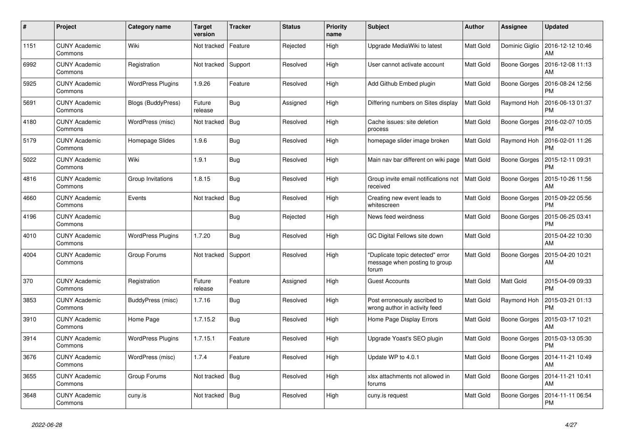| #    | Project                         | <b>Category name</b>      | <b>Target</b><br>version | <b>Tracker</b> | <b>Status</b> | <b>Priority</b><br>name | <b>Subject</b>                                                             | <b>Author</b>    | Assignee            | <b>Updated</b>                |
|------|---------------------------------|---------------------------|--------------------------|----------------|---------------|-------------------------|----------------------------------------------------------------------------|------------------|---------------------|-------------------------------|
| 1151 | <b>CUNY Academic</b><br>Commons | Wiki                      | Not tracked              | Feature        | Rejected      | High                    | Upgrade MediaWiki to latest                                                | Matt Gold        | Dominic Giglio      | 2016-12-12 10:46<br>AM        |
| 6992 | <b>CUNY Academic</b><br>Commons | Registration              | Not tracked              | Support        | Resolved      | High                    | User cannot activate account                                               | <b>Matt Gold</b> | <b>Boone Gorges</b> | 2016-12-08 11:13<br>AM        |
| 5925 | <b>CUNY Academic</b><br>Commons | <b>WordPress Plugins</b>  | 1.9.26                   | Feature        | Resolved      | High                    | Add Github Embed plugin                                                    | Matt Gold        | Boone Gorges        | 2016-08-24 12:56<br><b>PM</b> |
| 5691 | <b>CUNY Academic</b><br>Commons | <b>Blogs (BuddyPress)</b> | Future<br>release        | <b>Bug</b>     | Assigned      | High                    | Differing numbers on Sites display                                         | <b>Matt Gold</b> | Raymond Hoh         | 2016-06-13 01:37<br><b>PM</b> |
| 4180 | <b>CUNY Academic</b><br>Commons | WordPress (misc)          | Not tracked              | Bug            | Resolved      | High                    | Cache issues: site deletion<br>process                                     | Matt Gold        | <b>Boone Gorges</b> | 2016-02-07 10:05<br><b>PM</b> |
| 5179 | <b>CUNY Academic</b><br>Commons | Homepage Slides           | 1.9.6                    | Bug            | Resolved      | High                    | homepage slider image broken                                               | Matt Gold        | Raymond Hoh         | 2016-02-01 11:26<br><b>PM</b> |
| 5022 | <b>CUNY Academic</b><br>Commons | Wiki                      | 1.9.1                    | <b>Bug</b>     | Resolved      | High                    | Main nav bar different on wiki page                                        | <b>Matt Gold</b> | Boone Gorges        | 2015-12-11 09:31<br><b>PM</b> |
| 4816 | <b>CUNY Academic</b><br>Commons | Group Invitations         | 1.8.15                   | Bug            | Resolved      | High                    | Group invite email notifications not<br>received                           | Matt Gold        | <b>Boone Gorges</b> | 2015-10-26 11:56<br>AM        |
| 4660 | <b>CUNY Academic</b><br>Commons | Events                    | Not tracked              | <b>Bug</b>     | Resolved      | High                    | Creating new event leads to<br>whitescreen                                 | Matt Gold        | Boone Gorges        | 2015-09-22 05:56<br><b>PM</b> |
| 4196 | <b>CUNY Academic</b><br>Commons |                           |                          | Bug            | Rejected      | High                    | News feed weirdness                                                        | Matt Gold        | Boone Gorges        | 2015-06-25 03:41<br><b>PM</b> |
| 4010 | <b>CUNY Academic</b><br>Commons | <b>WordPress Plugins</b>  | 1.7.20                   | <b>Bug</b>     | Resolved      | High                    | GC Digital Fellows site down                                               | Matt Gold        |                     | 2015-04-22 10:30<br>AM        |
| 4004 | <b>CUNY Academic</b><br>Commons | Group Forums              | Not tracked              | Support        | Resolved      | High                    | "Duplicate topic detected" error<br>message when posting to group<br>forum | Matt Gold        | <b>Boone Gorges</b> | 2015-04-20 10:21<br>AM        |
| 370  | <b>CUNY Academic</b><br>Commons | Registration              | Future<br>release        | Feature        | Assigned      | High                    | <b>Guest Accounts</b>                                                      | Matt Gold        | Matt Gold           | 2015-04-09 09:33<br><b>PM</b> |
| 3853 | <b>CUNY Academic</b><br>Commons | BuddyPress (misc)         | 1.7.16                   | <b>Bug</b>     | Resolved      | High                    | Post erroneously ascribed to<br>wrong author in activity feed              | Matt Gold        | Raymond Hoh         | 2015-03-21 01:13<br><b>PM</b> |
| 3910 | <b>CUNY Academic</b><br>Commons | Home Page                 | 1.7.15.2                 | <b>Bug</b>     | Resolved      | High                    | Home Page Display Errors                                                   | Matt Gold        | Boone Gorges        | 2015-03-17 10:21<br>AM        |
| 3914 | <b>CUNY Academic</b><br>Commons | <b>WordPress Plugins</b>  | 1.7.15.1                 | Feature        | Resolved      | High                    | Upgrade Yoast's SEO plugin                                                 | Matt Gold        | <b>Boone Gorges</b> | 2015-03-13 05:30<br><b>PM</b> |
| 3676 | <b>CUNY Academic</b><br>Commons | WordPress (misc)          | 1.7.4                    | Feature        | Resolved      | High                    | Update WP to 4.0.1                                                         | <b>Matt Gold</b> | Boone Gorges        | 2014-11-21 10:49<br>AM        |
| 3655 | <b>CUNY Academic</b><br>Commons | Group Forums              | Not tracked              | Bug            | Resolved      | High                    | xlsx attachments not allowed in<br>forums                                  | <b>Matt Gold</b> | Boone Gorges        | 2014-11-21 10:41<br>AM        |
| 3648 | <b>CUNY Academic</b><br>Commons | cuny.is                   | Not tracked              | Bug            | Resolved      | High                    | cuny.is request                                                            | Matt Gold        | Boone Gorges        | 2014-11-11 06:54<br><b>PM</b> |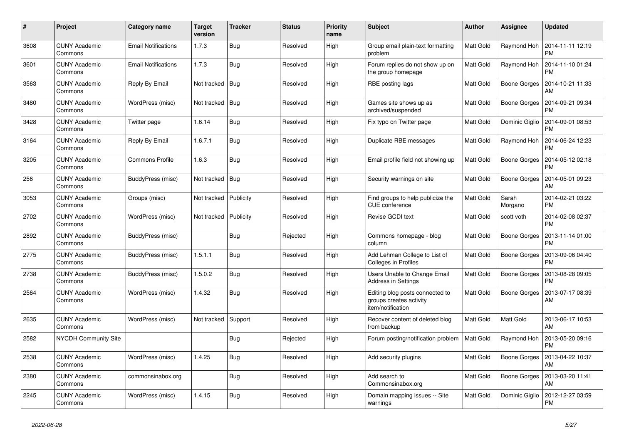| #    | Project                         | <b>Category name</b>       | <b>Target</b><br>version | <b>Tracker</b> | <b>Status</b> | <b>Priority</b><br>name | <b>Subject</b>                                                                  | <b>Author</b>    | Assignee            | <b>Updated</b>                |
|------|---------------------------------|----------------------------|--------------------------|----------------|---------------|-------------------------|---------------------------------------------------------------------------------|------------------|---------------------|-------------------------------|
| 3608 | <b>CUNY Academic</b><br>Commons | <b>Email Notifications</b> | 1.7.3                    | Bug            | Resolved      | High                    | Group email plain-text formatting<br>problem                                    | <b>Matt Gold</b> | Raymond Hoh         | 2014-11-11 12:19<br><b>PM</b> |
| 3601 | <b>CUNY Academic</b><br>Commons | <b>Email Notifications</b> | 1.7.3                    | Bug            | Resolved      | High                    | Forum replies do not show up on<br>the group homepage                           | <b>Matt Gold</b> | Raymond Hoh         | 2014-11-10 01:24<br><b>PM</b> |
| 3563 | <b>CUNY Academic</b><br>Commons | Reply By Email             | Not tracked              | Bug            | Resolved      | High                    | RBE posting lags                                                                | Matt Gold        | Boone Gorges        | 2014-10-21 11:33<br>AM        |
| 3480 | <b>CUNY Academic</b><br>Commons | WordPress (misc)           | Not tracked              | Bug            | Resolved      | High                    | Games site shows up as<br>archived/suspended                                    | <b>Matt Gold</b> | Boone Gorges        | 2014-09-21 09:34<br><b>PM</b> |
| 3428 | <b>CUNY Academic</b><br>Commons | Twitter page               | 1.6.14                   | Bug            | Resolved      | High                    | Fix typo on Twitter page                                                        | <b>Matt Gold</b> | Dominic Giglio      | 2014-09-01 08:53<br><b>PM</b> |
| 3164 | <b>CUNY Academic</b><br>Commons | Reply By Email             | 1.6.7.1                  | Bug            | Resolved      | High                    | Duplicate RBE messages                                                          | Matt Gold        | Raymond Hoh         | 2014-06-24 12:23<br><b>PM</b> |
| 3205 | <b>CUNY Academic</b><br>Commons | <b>Commons Profile</b>     | 1.6.3                    | <b>Bug</b>     | Resolved      | High                    | Email profile field not showing up                                              | <b>Matt Gold</b> | Boone Gorges        | 2014-05-12 02:18<br><b>PM</b> |
| 256  | <b>CUNY Academic</b><br>Commons | BuddyPress (misc)          | Not tracked              | <b>Bug</b>     | Resolved      | High                    | Security warnings on site                                                       | <b>Matt Gold</b> | <b>Boone Gorges</b> | 2014-05-01 09:23<br>AM        |
| 3053 | <b>CUNY Academic</b><br>Commons | Groups (misc)              | Not tracked              | Publicity      | Resolved      | High                    | Find groups to help publicize the<br><b>CUE</b> conference                      | Matt Gold        | Sarah<br>Morgano    | 2014-02-21 03:22<br><b>PM</b> |
| 2702 | <b>CUNY Academic</b><br>Commons | WordPress (misc)           | Not tracked              | Publicity      | Resolved      | High                    | Revise GCDI text                                                                | Matt Gold        | scott voth          | 2014-02-08 02:37<br><b>PM</b> |
| 2892 | <b>CUNY Academic</b><br>Commons | BuddyPress (misc)          |                          | Bug            | Rejected      | High                    | Commons homepage - blog<br>column                                               | Matt Gold        | Boone Gorges        | 2013-11-14 01:00<br><b>PM</b> |
| 2775 | <b>CUNY Academic</b><br>Commons | BuddyPress (misc)          | 1.5.1.1                  | Bug            | Resolved      | High                    | Add Lehman College to List of<br><b>Colleges in Profiles</b>                    | <b>Matt Gold</b> | Boone Gorges        | 2013-09-06 04:40<br><b>PM</b> |
| 2738 | <b>CUNY Academic</b><br>Commons | BuddyPress (misc)          | 1.5.0.2                  | Bug            | Resolved      | High                    | Users Unable to Change Email<br>Address in Settings                             | <b>Matt Gold</b> | Boone Gorges        | 2013-08-28 09:05<br><b>PM</b> |
| 2564 | <b>CUNY Academic</b><br>Commons | WordPress (misc)           | 1.4.32                   | Bug            | Resolved      | High                    | Editing blog posts connected to<br>groups creates activity<br>item/notification | Matt Gold        | Boone Gorges        | 2013-07-17 08:39<br>AM        |
| 2635 | <b>CUNY Academic</b><br>Commons | WordPress (misc)           | Not tracked              | Support        | Resolved      | High                    | Recover content of deleted blog<br>from backup                                  | <b>Matt Gold</b> | Matt Gold           | 2013-06-17 10:53<br>AM        |
| 2582 | NYCDH Community Site            |                            |                          | Bug            | Rejected      | High                    | Forum posting/notification problem                                              | <b>Matt Gold</b> | Raymond Hoh         | 2013-05-20 09:16<br><b>PM</b> |
| 2538 | <b>CUNY Academic</b><br>Commons | WordPress (misc)           | 1.4.25                   | Bug            | Resolved      | High                    | Add security plugins                                                            | <b>Matt Gold</b> | Boone Gorges        | 2013-04-22 10:37<br>AM        |
| 2380 | <b>CUNY Academic</b><br>Commons | commonsinabox.org          |                          | Bug            | Resolved      | High                    | Add search to<br>Commonsinabox.org                                              | Matt Gold        | Boone Gorges        | 2013-03-20 11:41<br>AM        |
| 2245 | <b>CUNY Academic</b><br>Commons | WordPress (misc)           | 1.4.15                   | Bug            | Resolved      | High                    | Domain mapping issues -- Site<br>warnings                                       | Matt Gold        | Dominic Giglio      | 2012-12-27 03:59<br><b>PM</b> |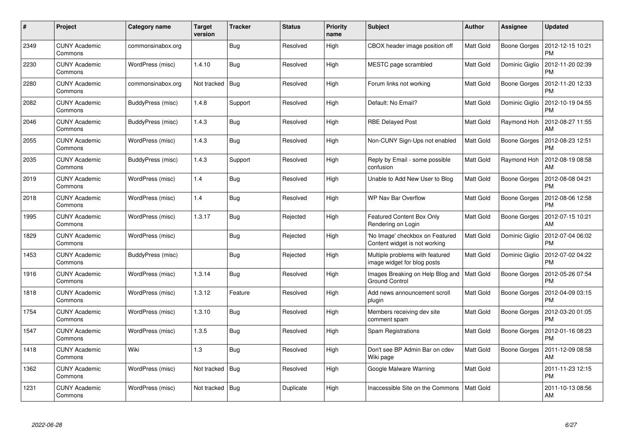| #    | Project                         | <b>Category name</b> | <b>Target</b><br>version | <b>Tracker</b> | <b>Status</b> | <b>Priority</b><br>name | Subject                                                          | <b>Author</b>    | Assignee            | <b>Updated</b>                |
|------|---------------------------------|----------------------|--------------------------|----------------|---------------|-------------------------|------------------------------------------------------------------|------------------|---------------------|-------------------------------|
| 2349 | <b>CUNY Academic</b><br>Commons | commonsinabox.org    |                          | Bug            | Resolved      | High                    | CBOX header image position off                                   | <b>Matt Gold</b> | <b>Boone Gorges</b> | 2012-12-15 10:21<br><b>PM</b> |
| 2230 | <b>CUNY Academic</b><br>Commons | WordPress (misc)     | 1.4.10                   | Bug            | Resolved      | High                    | MESTC page scrambled                                             | <b>Matt Gold</b> | Dominic Giglio      | 2012-11-20 02:39<br><b>PM</b> |
| 2280 | <b>CUNY Academic</b><br>Commons | commonsinabox.org    | Not tracked              | <b>Bug</b>     | Resolved      | High                    | Forum links not working                                          | <b>Matt Gold</b> | Boone Gorges        | 2012-11-20 12:33<br><b>PM</b> |
| 2082 | <b>CUNY Academic</b><br>Commons | BuddyPress (misc)    | 1.4.8                    | Support        | Resolved      | High                    | Default: No Email?                                               | <b>Matt Gold</b> | Dominic Giglio      | 2012-10-19 04:55<br><b>PM</b> |
| 2046 | <b>CUNY Academic</b><br>Commons | BuddyPress (misc)    | 1.4.3                    | <b>Bug</b>     | Resolved      | High                    | <b>RBE Delayed Post</b>                                          | Matt Gold        | Raymond Hoh         | 2012-08-27 11:55<br>AM        |
| 2055 | <b>CUNY Academic</b><br>Commons | WordPress (misc)     | 1.4.3                    | Bug            | Resolved      | High                    | Non-CUNY Sign-Ups not enabled                                    | Matt Gold        | Boone Gorges        | 2012-08-23 12:51<br><b>PM</b> |
| 2035 | <b>CUNY Academic</b><br>Commons | BuddyPress (misc)    | 1.4.3                    | Support        | Resolved      | High                    | Reply by Email - some possible<br>confusion                      | <b>Matt Gold</b> | Raymond Hoh         | 2012-08-19 08:58<br>AM        |
| 2019 | <b>CUNY Academic</b><br>Commons | WordPress (misc)     | 1.4                      | Bug            | Resolved      | High                    | Unable to Add New User to Blog                                   | <b>Matt Gold</b> | Boone Gorges        | 2012-08-08 04:21<br><b>PM</b> |
| 2018 | <b>CUNY Academic</b><br>Commons | WordPress (misc)     | 1.4                      | <b>Bug</b>     | Resolved      | High                    | WP Nav Bar Overflow                                              | Matt Gold        | Boone Gorges        | 2012-08-06 12:58<br><b>PM</b> |
| 1995 | <b>CUNY Academic</b><br>Commons | WordPress (misc)     | 1.3.17                   | <b>Bug</b>     | Rejected      | High                    | <b>Featured Content Box Only</b><br>Rendering on Login           | Matt Gold        | <b>Boone Gorges</b> | 2012-07-15 10:21<br>AM        |
| 1829 | <b>CUNY Academic</b><br>Commons | WordPress (misc)     |                          | <b>Bug</b>     | Rejected      | High                    | 'No Image' checkbox on Featured<br>Content widget is not working | Matt Gold        | Dominic Giglio      | 2012-07-04 06:02<br><b>PM</b> |
| 1453 | <b>CUNY Academic</b><br>Commons | BuddyPress (misc)    |                          | Bug            | Rejected      | High                    | Multiple problems with featured<br>image widget for blog posts   | Matt Gold        | Dominic Giglio      | 2012-07-02 04:22<br><b>PM</b> |
| 1916 | <b>CUNY Academic</b><br>Commons | WordPress (misc)     | 1.3.14                   | Bug            | Resolved      | High                    | Images Breaking on Help Blog and<br><b>Ground Control</b>        | <b>Matt Gold</b> | Boone Gorges        | 2012-05-26 07:54<br><b>PM</b> |
| 1818 | <b>CUNY Academic</b><br>Commons | WordPress (misc)     | 1.3.12                   | Feature        | Resolved      | High                    | Add news announcement scroll<br>plugin                           | <b>Matt Gold</b> | Boone Gorges        | 2012-04-09 03:15<br><b>PM</b> |
| 1754 | <b>CUNY Academic</b><br>Commons | WordPress (misc)     | 1.3.10                   | <b>Bug</b>     | Resolved      | High                    | Members receiving dev site<br>comment spam                       | <b>Matt Gold</b> | Boone Gorges        | 2012-03-20 01:05<br><b>PM</b> |
| 1547 | <b>CUNY Academic</b><br>Commons | WordPress (misc)     | 1.3.5                    | <b>Bug</b>     | Resolved      | High                    | Spam Registrations                                               | <b>Matt Gold</b> | Boone Gorges        | 2012-01-16 08:23<br><b>PM</b> |
| 1418 | <b>CUNY Academic</b><br>Commons | Wiki                 | 1.3                      | Bug            | Resolved      | High                    | Don't see BP Admin Bar on cdev<br>Wiki page                      | <b>Matt Gold</b> | Boone Gorges        | 2011-12-09 08:58<br>AM        |
| 1362 | <b>CUNY Academic</b><br>Commons | WordPress (misc)     | Not tracked              | Bug            | Resolved      | High                    | Google Malware Warning                                           | Matt Gold        |                     | 2011-11-23 12:15<br><b>PM</b> |
| 1231 | CUNY Academic<br>Commons        | WordPress (misc)     | Not tracked              | <b>Bug</b>     | Duplicate     | High                    | Inaccessible Site on the Commons                                 | Matt Gold        |                     | 2011-10-13 08:56<br>AM        |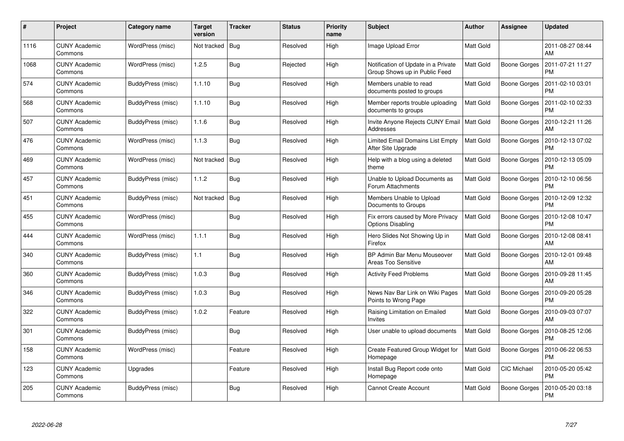| #    | Project                         | Category name     | <b>Target</b><br>version | <b>Tracker</b> | <b>Status</b> | <b>Priority</b><br>name | <b>Subject</b>                                                       | Author           | <b>Assignee</b>     | <b>Updated</b>                |
|------|---------------------------------|-------------------|--------------------------|----------------|---------------|-------------------------|----------------------------------------------------------------------|------------------|---------------------|-------------------------------|
| 1116 | <b>CUNY Academic</b><br>Commons | WordPress (misc)  | Not tracked              | Bug            | Resolved      | High                    | Image Upload Error                                                   | Matt Gold        |                     | 2011-08-27 08:44<br>AM        |
| 1068 | <b>CUNY Academic</b><br>Commons | WordPress (misc)  | 1.2.5                    | <b>Bug</b>     | Rejected      | High                    | Notification of Update in a Private<br>Group Shows up in Public Feed | Matt Gold        | Boone Gorges        | 2011-07-21 11:27<br><b>PM</b> |
| 574  | <b>CUNY Academic</b><br>Commons | BuddyPress (misc) | 1.1.10                   | Bug            | Resolved      | High                    | Members unable to read<br>documents posted to groups                 | <b>Matt Gold</b> | Boone Gorges        | 2011-02-10 03:01<br><b>PM</b> |
| 568  | <b>CUNY Academic</b><br>Commons | BuddyPress (misc) | 1.1.10                   | Bug            | Resolved      | High                    | Member reports trouble uploading<br>documents to groups              | Matt Gold        | Boone Gorges        | 2011-02-10 02:33<br><b>PM</b> |
| 507  | <b>CUNY Academic</b><br>Commons | BuddyPress (misc) | 1.1.6                    | Bug            | Resolved      | High                    | Invite Anyone Rejects CUNY Email   Matt Gold<br>Addresses            |                  | Boone Gorges        | 2010-12-21 11:26<br>AM        |
| 476  | <b>CUNY Academic</b><br>Commons | WordPress (misc)  | 1.1.3                    | Bug            | Resolved      | High                    | Limited Email Domains List Empty<br>After Site Upgrade               | Matt Gold        | Boone Gorges        | 2010-12-13 07:02<br><b>PM</b> |
| 469  | <b>CUNY Academic</b><br>Commons | WordPress (misc)  | Not tracked              | Bug            | Resolved      | High                    | Help with a blog using a deleted<br>theme                            | <b>Matt Gold</b> | <b>Boone Gorges</b> | 2010-12-13 05:09<br><b>PM</b> |
| 457  | <b>CUNY Academic</b><br>Commons | BuddyPress (misc) | 1.1.2                    | Bug            | Resolved      | High                    | Unable to Upload Documents as<br>Forum Attachments                   | <b>Matt Gold</b> | Boone Gorges        | 2010-12-10 06:56<br><b>PM</b> |
| 451  | <b>CUNY Academic</b><br>Commons | BuddyPress (misc) | Not tracked              | Bug            | Resolved      | High                    | Members Unable to Upload<br>Documents to Groups                      | <b>Matt Gold</b> | Boone Gorges        | 2010-12-09 12:32<br><b>PM</b> |
| 455  | <b>CUNY Academic</b><br>Commons | WordPress (misc)  |                          | <b>Bug</b>     | Resolved      | High                    | Fix errors caused by More Privacy<br><b>Options Disabling</b>        | <b>Matt Gold</b> | Boone Gorges        | 2010-12-08 10:47<br><b>PM</b> |
| 444  | <b>CUNY Academic</b><br>Commons | WordPress (misc)  | 1.1.1                    | Bug            | Resolved      | High                    | Hero Slides Not Showing Up in<br>Firefox                             | <b>Matt Gold</b> | <b>Boone Gorges</b> | 2010-12-08 08:41<br>AM        |
| 340  | <b>CUNY Academic</b><br>Commons | BuddyPress (misc) | 1.1                      | Bug            | Resolved      | High                    | BP Admin Bar Menu Mouseover<br>Areas Too Sensitive                   | Matt Gold        | Boone Gorges        | 2010-12-01 09:48<br>AM        |
| 360  | <b>CUNY Academic</b><br>Commons | BuddyPress (misc) | 1.0.3                    | <b>Bug</b>     | Resolved      | High                    | <b>Activity Feed Problems</b>                                        | Matt Gold        | Boone Gorges        | 2010-09-28 11:45<br>AM        |
| 346  | <b>CUNY Academic</b><br>Commons | BuddyPress (misc) | 1.0.3                    | <b>Bug</b>     | Resolved      | High                    | News Nav Bar Link on Wiki Pages<br>Points to Wrong Page              | Matt Gold        | <b>Boone Gorges</b> | 2010-09-20 05:28<br><b>PM</b> |
| 322  | <b>CUNY Academic</b><br>Commons | BuddyPress (misc) | 1.0.2                    | Feature        | Resolved      | High                    | Raising Limitation on Emailed<br>Invites                             | Matt Gold        | Boone Gorges        | 2010-09-03 07:07<br>AM        |
| 301  | <b>CUNY Academic</b><br>Commons | BuddyPress (misc) |                          | Bug            | Resolved      | High                    | User unable to upload documents                                      | <b>Matt Gold</b> | Boone Gorges        | 2010-08-25 12:06<br><b>PM</b> |
| 158  | <b>CUNY Academic</b><br>Commons | WordPress (misc)  |                          | Feature        | Resolved      | High                    | Create Featured Group Widget for<br>Homepage                         | Matt Gold        | Boone Gorges        | 2010-06-22 06:53<br><b>PM</b> |
| 123  | <b>CUNY Academic</b><br>Commons | Upgrades          |                          | Feature        | Resolved      | High                    | Install Bug Report code onto<br>Homepage                             | <b>Matt Gold</b> | CIC Michael         | 2010-05-20 05:42<br><b>PM</b> |
| 205  | CUNY Academic<br>Commons        | BuddyPress (misc) |                          | Bug            | Resolved      | High                    | <b>Cannot Create Account</b>                                         | <b>Matt Gold</b> | Boone Gorges        | 2010-05-20 03:18<br><b>PM</b> |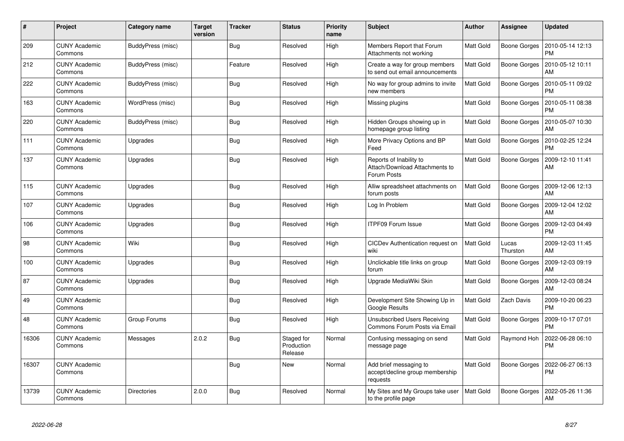| $\#$  | Project                         | Category name     | <b>Target</b><br>version | <b>Tracker</b> | <b>Status</b>                       | <b>Priority</b><br>name | <b>Subject</b>                                                           | Author           | Assignee            | <b>Updated</b>                |
|-------|---------------------------------|-------------------|--------------------------|----------------|-------------------------------------|-------------------------|--------------------------------------------------------------------------|------------------|---------------------|-------------------------------|
| 209   | <b>CUNY Academic</b><br>Commons | BuddyPress (misc) |                          | Bug            | Resolved                            | High                    | Members Report that Forum<br>Attachments not working                     | <b>Matt Gold</b> | Boone Gorges        | 2010-05-14 12:13<br><b>PM</b> |
| 212   | <b>CUNY Academic</b><br>Commons | BuddyPress (misc) |                          | Feature        | Resolved                            | High                    | Create a way for group members<br>to send out email announcements        | <b>Matt Gold</b> | <b>Boone Gorges</b> | 2010-05-12 10:11<br>AM        |
| 222   | <b>CUNY Academic</b><br>Commons | BuddyPress (misc) |                          | <b>Bug</b>     | Resolved                            | High                    | No way for group admins to invite<br>new members                         | <b>Matt Gold</b> | <b>Boone Gorges</b> | 2010-05-11 09:02<br><b>PM</b> |
| 163   | <b>CUNY Academic</b><br>Commons | WordPress (misc)  |                          | Bug            | Resolved                            | High                    | Missing plugins                                                          | Matt Gold        | Boone Gorges        | 2010-05-11 08:38<br><b>PM</b> |
| 220   | <b>CUNY Academic</b><br>Commons | BuddyPress (misc) |                          | Bug            | Resolved                            | High                    | Hidden Groups showing up in<br>homepage group listing                    | <b>Matt Gold</b> | Boone Gorges        | 2010-05-07 10:30<br>AM        |
| 111   | <b>CUNY Academic</b><br>Commons | Upgrades          |                          | Bug            | Resolved                            | High                    | More Privacy Options and BP<br>Feed                                      | Matt Gold        | Boone Gorges        | 2010-02-25 12:24<br><b>PM</b> |
| 137   | <b>CUNY Academic</b><br>Commons | Upgrades          |                          | <b>Bug</b>     | Resolved                            | High                    | Reports of Inability to<br>Attach/Download Attachments to<br>Forum Posts | Matt Gold        | Boone Gorges        | 2009-12-10 11:41<br>AM        |
| 115   | <b>CUNY Academic</b><br>Commons | Upgrades          |                          | <b>Bug</b>     | Resolved                            | High                    | Alliw spreadsheet attachments on<br>forum posts                          | <b>Matt Gold</b> | <b>Boone Gorges</b> | 2009-12-06 12:13<br>AM        |
| 107   | <b>CUNY Academic</b><br>Commons | Upgrades          |                          | Bug            | Resolved                            | High                    | Log In Problem                                                           | Matt Gold        | Boone Gorges        | 2009-12-04 12:02<br>AM        |
| 106   | <b>CUNY Academic</b><br>Commons | Upgrades          |                          | Bug            | Resolved                            | High                    | <b>ITPF09 Forum Issue</b>                                                | Matt Gold        | Boone Gorges        | 2009-12-03 04:49<br><b>PM</b> |
| 98    | <b>CUNY Academic</b><br>Commons | Wiki              |                          | <b>Bug</b>     | Resolved                            | High                    | CICDev Authentication request on<br>wiki                                 | <b>Matt Gold</b> | Lucas<br>Thurston   | 2009-12-03 11:45<br>AM        |
| 100   | <b>CUNY Academic</b><br>Commons | Upgrades          |                          | Bug            | Resolved                            | High                    | Unclickable title links on group<br>forum                                | Matt Gold        | <b>Boone Gorges</b> | 2009-12-03 09:19<br>AM        |
| 87    | <b>CUNY Academic</b><br>Commons | Upgrades          |                          | <b>Bug</b>     | Resolved                            | High                    | Upgrade MediaWiki Skin                                                   | <b>Matt Gold</b> | Boone Gorges        | 2009-12-03 08:24<br>AM        |
| 49    | <b>CUNY Academic</b><br>Commons |                   |                          | <b>Bug</b>     | Resolved                            | High                    | Development Site Showing Up in<br>Google Results                         | <b>Matt Gold</b> | Zach Davis          | 2009-10-20 06:23<br><b>PM</b> |
| 48    | <b>CUNY Academic</b><br>Commons | Group Forums      |                          | <b>Bug</b>     | Resolved                            | High                    | Unsubscribed Users Receiving<br>Commons Forum Posts via Email            | Matt Gold        | <b>Boone Gorges</b> | 2009-10-17 07:01<br><b>PM</b> |
| 16306 | <b>CUNY Academic</b><br>Commons | Messages          | 2.0.2                    | Bug            | Staged for<br>Production<br>Release | Normal                  | Confusing messaging on send<br>message page                              | Matt Gold        | Raymond Hoh         | 2022-06-28 06:10<br>PM        |
| 16307 | CUNY Academic<br>Commons        |                   |                          | Bug            | New                                 | Normal                  | Add brief messaging to<br>accept/decline group membership<br>requests    | Matt Gold        | Boone Gorges        | 2022-06-27 06:13<br><b>PM</b> |
| 13739 | <b>CUNY Academic</b><br>Commons | Directories       | 2.0.0                    | <b>Bug</b>     | Resolved                            | Normal                  | My Sites and My Groups take user<br>to the profile page                  | <b>Matt Gold</b> | Boone Gorges        | 2022-05-26 11:36<br><b>AM</b> |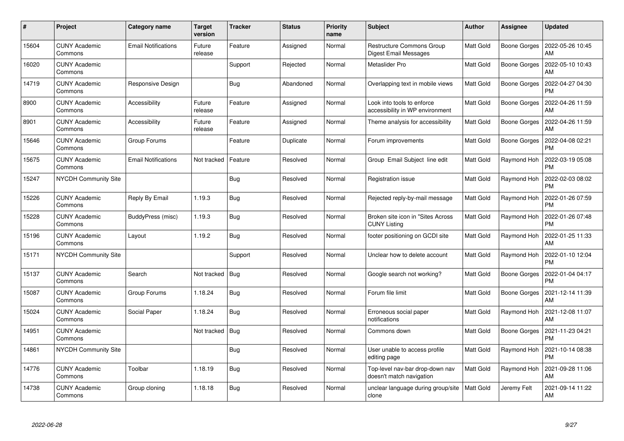| #     | Project                         | <b>Category name</b>       | <b>Target</b><br>version | <b>Tracker</b> | <b>Status</b> | <b>Priority</b><br>name | <b>Subject</b>                                                   | <b>Author</b>    | Assignee            | <b>Updated</b>                |
|-------|---------------------------------|----------------------------|--------------------------|----------------|---------------|-------------------------|------------------------------------------------------------------|------------------|---------------------|-------------------------------|
| 15604 | <b>CUNY Academic</b><br>Commons | <b>Email Notifications</b> | Future<br>release        | Feature        | Assigned      | Normal                  | <b>Restructure Commons Group</b><br><b>Digest Email Messages</b> | <b>Matt Gold</b> | <b>Boone Gorges</b> | 2022-05-26 10:45<br>AM        |
| 16020 | <b>CUNY Academic</b><br>Commons |                            |                          | Support        | Rejected      | Normal                  | Metaslider Pro                                                   | <b>Matt Gold</b> | Boone Gorges        | 2022-05-10 10:43<br>AM        |
| 14719 | <b>CUNY Academic</b><br>Commons | Responsive Design          |                          | <b>Bug</b>     | Abandoned     | Normal                  | Overlapping text in mobile views                                 | Matt Gold        | <b>Boone Gorges</b> | 2022-04-27 04:30<br><b>PM</b> |
| 8900  | <b>CUNY Academic</b><br>Commons | Accessibility              | Future<br>release        | Feature        | Assigned      | Normal                  | Look into tools to enforce<br>accessibility in WP environment    | <b>Matt Gold</b> | Boone Gorges        | 2022-04-26 11:59<br>AM        |
| 8901  | <b>CUNY Academic</b><br>Commons | Accessibility              | Future<br>release        | Feature        | Assigned      | Normal                  | Theme analysis for accessibility                                 | Matt Gold        | Boone Gorges        | 2022-04-26 11:59<br>AM        |
| 15646 | <b>CUNY Academic</b><br>Commons | Group Forums               |                          | Feature        | Duplicate     | Normal                  | Forum improvements                                               | Matt Gold        | Boone Gorges        | 2022-04-08 02:21<br><b>PM</b> |
| 15675 | <b>CUNY Academic</b><br>Commons | <b>Email Notifications</b> | Not tracked              | Feature        | Resolved      | Normal                  | Group Email Subject line edit                                    | <b>Matt Gold</b> | Raymond Hoh         | 2022-03-19 05:08<br><b>PM</b> |
| 15247 | NYCDH Community Site            |                            |                          | <b>Bug</b>     | Resolved      | Normal                  | Registration issue                                               | Matt Gold        | Raymond Hoh         | 2022-02-03 08:02<br><b>PM</b> |
| 15226 | <b>CUNY Academic</b><br>Commons | Reply By Email             | 1.19.3                   | <b>Bug</b>     | Resolved      | Normal                  | Rejected reply-by-mail message                                   | <b>Matt Gold</b> | Raymond Hoh         | 2022-01-26 07:59<br><b>PM</b> |
| 15228 | <b>CUNY Academic</b><br>Commons | BuddyPress (misc)          | 1.19.3                   | Bug            | Resolved      | Normal                  | Broken site icon in "Sites Across"<br><b>CUNY Listing</b>        | <b>Matt Gold</b> | Raymond Hoh         | 2022-01-26 07:48<br><b>PM</b> |
| 15196 | <b>CUNY Academic</b><br>Commons | Layout                     | 1.19.2                   | <b>Bug</b>     | Resolved      | Normal                  | footer positioning on GCDI site                                  | Matt Gold        | Raymond Hoh         | 2022-01-25 11:33<br>AM        |
| 15171 | NYCDH Community Site            |                            |                          | Support        | Resolved      | Normal                  | Unclear how to delete account                                    | <b>Matt Gold</b> | Raymond Hoh         | 2022-01-10 12:04<br><b>PM</b> |
| 15137 | <b>CUNY Academic</b><br>Commons | Search                     | Not tracked              | <b>Bug</b>     | Resolved      | Normal                  | Google search not working?                                       | <b>Matt Gold</b> | Boone Gorges        | 2022-01-04 04:17<br><b>PM</b> |
| 15087 | <b>CUNY Academic</b><br>Commons | Group Forums               | 1.18.24                  | Bug            | Resolved      | Normal                  | Forum file limit                                                 | Matt Gold        | Boone Gorges        | 2021-12-14 11:39<br>AM        |
| 15024 | <b>CUNY Academic</b><br>Commons | Social Paper               | 1.18.24                  | Bug            | Resolved      | Normal                  | Erroneous social paper<br>notifications                          | <b>Matt Gold</b> | Raymond Hoh         | 2021-12-08 11:07<br>AM        |
| 14951 | <b>CUNY Academic</b><br>Commons |                            | Not tracked              | Bug            | Resolved      | Normal                  | Commons down                                                     | Matt Gold        | Boone Gorges        | 2021-11-23 04:21<br><b>PM</b> |
| 14861 | <b>NYCDH Community Site</b>     |                            |                          | Bug            | Resolved      | Normal                  | User unable to access profile<br>editing page                    | <b>Matt Gold</b> | Raymond Hoh         | 2021-10-14 08:38<br><b>PM</b> |
| 14776 | <b>CUNY Academic</b><br>Commons | Toolbar                    | 1.18.19                  | Bug            | Resolved      | Normal                  | Top-level nav-bar drop-down nav<br>doesn't match navigation      | <b>Matt Gold</b> | Raymond Hoh         | 2021-09-28 11:06<br>AM        |
| 14738 | <b>CUNY Academic</b><br>Commons | Group cloning              | 1.18.18                  | <b>Bug</b>     | Resolved      | Normal                  | unclear language during group/site<br>clone                      | Matt Gold        | Jeremy Felt         | 2021-09-14 11:22<br><b>AM</b> |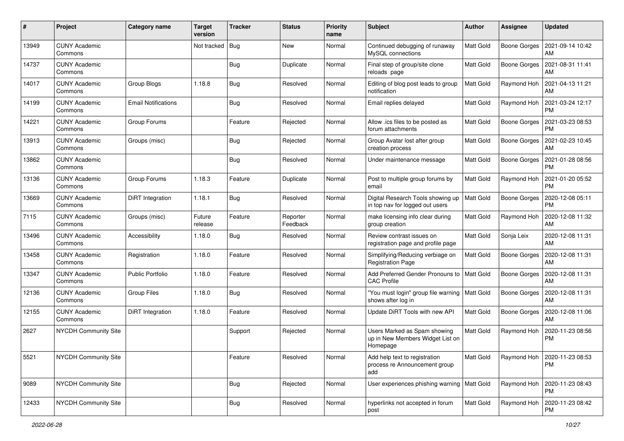| #     | Project                         | Category name              | <b>Target</b><br>version | <b>Tracker</b> | <b>Status</b>        | <b>Priority</b><br>name | <b>Subject</b>                                                               | Author           | Assignee            | <b>Updated</b>                              |
|-------|---------------------------------|----------------------------|--------------------------|----------------|----------------------|-------------------------|------------------------------------------------------------------------------|------------------|---------------------|---------------------------------------------|
| 13949 | <b>CUNY Academic</b><br>Commons |                            | Not tracked              | <b>Bug</b>     | New                  | Normal                  | Continued debugging of runaway<br>MySQL connections                          | <b>Matt Gold</b> | Boone Gorges        | 2021-09-14 10:42<br>AM                      |
| 14737 | <b>CUNY Academic</b><br>Commons |                            |                          | <b>Bug</b>     | Duplicate            | Normal                  | Final step of group/site clone<br>reloads page                               | <b>Matt Gold</b> | Boone Gorges        | 2021-08-31 11:41<br>AM                      |
| 14017 | <b>CUNY Academic</b><br>Commons | Group Blogs                | 1.18.8                   | <b>Bug</b>     | Resolved             | Normal                  | Editing of blog post leads to group<br>notification                          | <b>Matt Gold</b> | Raymond Hoh         | 2021-04-13 11:21<br>AM                      |
| 14199 | <b>CUNY Academic</b><br>Commons | <b>Email Notifications</b> |                          | Bug            | Resolved             | Normal                  | Email replies delayed                                                        | <b>Matt Gold</b> | Raymond Hoh         | 2021-03-24 12:17<br><b>PM</b>               |
| 14221 | <b>CUNY Academic</b><br>Commons | Group Forums               |                          | Feature        | Rejected             | Normal                  | Allow .ics files to be posted as<br>forum attachments                        | Matt Gold        | Boone Gorges        | 2021-03-23 08:53<br><b>PM</b>               |
| 13913 | <b>CUNY Academic</b><br>Commons | Groups (misc)              |                          | <b>Bug</b>     | Rejected             | Normal                  | Group Avatar lost after group<br>creation process                            | Matt Gold        | Boone Gorges        | 2021-02-23 10:45<br>AM                      |
| 13862 | <b>CUNY Academic</b><br>Commons |                            |                          | Bug            | Resolved             | Normal                  | Under maintenance message                                                    | <b>Matt Gold</b> | Boone Gorges        | 2021-01-28 08:56<br><b>PM</b>               |
| 13136 | <b>CUNY Academic</b><br>Commons | Group Forums               | 1.18.3                   | Feature        | Duplicate            | Normal                  | Post to multiple group forums by<br>email                                    | Matt Gold        | Raymond Hoh         | 2021-01-20 05:52<br>PM                      |
| 13669 | <b>CUNY Academic</b><br>Commons | DiRT Integration           | 1.18.1                   | Bug            | Resolved             | Normal                  | Digital Research Tools showing up<br>in top nav for logged out users         | <b>Matt Gold</b> | <b>Boone Gorges</b> | 2020-12-08 05:11<br><b>PM</b>               |
| 7115  | <b>CUNY Academic</b><br>Commons | Groups (misc)              | Future<br>release        | Feature        | Reporter<br>Feedback | Normal                  | make licensing info clear during<br>group creation                           | <b>Matt Gold</b> | Raymond Hoh         | 2020-12-08 11:32<br>AM                      |
| 13496 | <b>CUNY Academic</b><br>Commons | Accessibility              | 1.18.0                   | Bug            | Resolved             | Normal                  | Review contrast issues on<br>registration page and profile page              | <b>Matt Gold</b> | Sonja Leix          | 2020-12-08 11:31<br>AM                      |
| 13458 | <b>CUNY Academic</b><br>Commons | Registration               | 1.18.0                   | Feature        | Resolved             | Normal                  | Simplifying/Reducing verbiage on<br><b>Registration Page</b>                 | <b>Matt Gold</b> | <b>Boone Gorges</b> | 2020-12-08 11:31<br>AM                      |
| 13347 | <b>CUNY Academic</b><br>Commons | Public Portfolio           | 1.18.0                   | Feature        | Resolved             | Normal                  | Add Preferred Gender Pronouns to<br><b>CAC Profile</b>                       | <b>Matt Gold</b> | Boone Gorges        | 2020-12-08 11:31<br>AM                      |
| 12136 | <b>CUNY Academic</b><br>Commons | Group Files                | 1.18.0                   | Bug            | Resolved             | Normal                  | "You must login" group file warning   Matt Gold<br>shows after log in        |                  | Boone Gorges        | 2020-12-08 11:31<br>AM                      |
| 12155 | <b>CUNY Academic</b><br>Commons | DiRT Integration           | 1.18.0                   | Feature        | Resolved             | Normal                  | Update DiRT Tools with new API                                               | <b>Matt Gold</b> | <b>Boone Gorges</b> | 2020-12-08 11:06<br>AM                      |
| 2627  | NYCDH Community Site            |                            |                          | Support        | Rejected             | Normal                  | Users Marked as Spam showing<br>up in New Members Widget List on<br>Homepage | <b>Matt Gold</b> | Raymond Hoh         | 2020-11-23 08:56<br>PM                      |
| 5521  | NYCDH Community Site            |                            |                          | Feature        | Resolved             | Normal                  | Add help text to registration<br>process re Announcement group<br>add        | Matt Gold        |                     | Raymond Hoh   2020-11-23 08:53<br><b>PM</b> |
| 9089  | NYCDH Community Site            |                            |                          | Bug            | Rejected             | Normal                  | User experiences phishing warning   Matt Gold                                |                  | Raymond Hoh         | 2020-11-23 08:43<br>  PM                    |
| 12433 | NYCDH Community Site            |                            |                          | <b>Bug</b>     | Resolved             | Normal                  | hyperlinks not accepted in forum<br>post                                     | Matt Gold        | Raymond Hoh         | 2020-11-23 08:42<br>PM                      |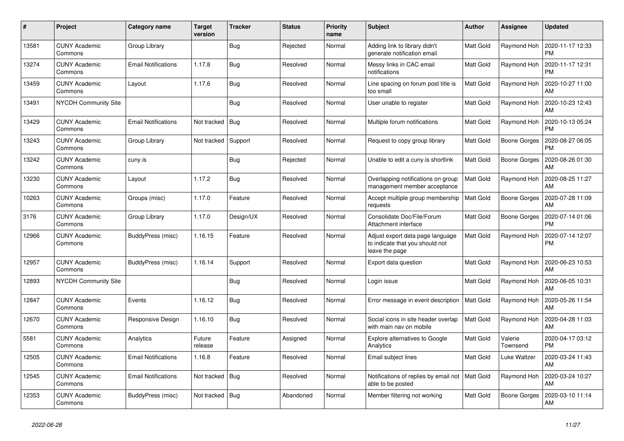| $\pmb{\#}$ | Project                         | Category name              | <b>Target</b><br>version | <b>Tracker</b> | <b>Status</b> | <b>Priority</b><br>name | <b>Subject</b>                                                                        | Author           | Assignee            | <b>Updated</b>                |
|------------|---------------------------------|----------------------------|--------------------------|----------------|---------------|-------------------------|---------------------------------------------------------------------------------------|------------------|---------------------|-------------------------------|
| 13581      | <b>CUNY Academic</b><br>Commons | Group Library              |                          | <b>Bug</b>     | Rejected      | Normal                  | Adding link to library didn't<br>generate notification email                          | <b>Matt Gold</b> | Raymond Hoh         | 2020-11-17 12:33<br><b>PM</b> |
| 13274      | <b>CUNY Academic</b><br>Commons | Email Notifications        | 1.17.8                   | Bug            | Resolved      | Normal                  | Messy links in CAC email<br>notifications                                             | Matt Gold        | Raymond Hoh         | 2020-11-17 12:31<br><b>PM</b> |
| 13459      | <b>CUNY Academic</b><br>Commons | Layout                     | 1.17.6                   | Bug            | Resolved      | Normal                  | Line spacing on forum post title is<br>too small                                      | Matt Gold        | Raymond Hoh         | 2020-10-27 11:00<br>AM        |
| 13491      | NYCDH Community Site            |                            |                          | <b>Bug</b>     | Resolved      | Normal                  | User unable to register                                                               | Matt Gold        | Raymond Hoh         | 2020-10-23 12:43<br>AM        |
| 13429      | <b>CUNY Academic</b><br>Commons | <b>Email Notifications</b> | Not tracked              | Bug            | Resolved      | Normal                  | Multiple forum notifications                                                          | Matt Gold        | Raymond Hoh         | 2020-10-13 05:24<br><b>PM</b> |
| 13243      | <b>CUNY Academic</b><br>Commons | Group Library              | Not tracked              | Support        | Resolved      | Normal                  | Request to copy group library                                                         | Matt Gold        | Boone Gorges        | 2020-08-27 06:05<br><b>PM</b> |
| 13242      | <b>CUNY Academic</b><br>Commons | cuny.is                    |                          | <b>Bug</b>     | Rejected      | Normal                  | Unable to edit a cuny.is shortlink                                                    | Matt Gold        | Boone Gorges        | 2020-08-26 01:30<br>AM        |
| 13230      | <b>CUNY Academic</b><br>Commons | Layout                     | 1.17.2                   | <b>Bug</b>     | Resolved      | Normal                  | Overlapping notifications on group<br>management member acceptance                    | Matt Gold        | Raymond Hoh         | 2020-08-25 11:27<br>AM        |
| 10263      | <b>CUNY Academic</b><br>Commons | Groups (misc)              | 1.17.0                   | Feature        | Resolved      | Normal                  | Accept multiple group membership<br>requests                                          | <b>Matt Gold</b> | Boone Gorges        | 2020-07-28 11:09<br>AM        |
| 3176       | <b>CUNY Academic</b><br>Commons | Group Library              | 1.17.0                   | Design/UX      | Resolved      | Normal                  | Consolidate Doc/File/Forum<br>Attachment interface                                    | Matt Gold        | Boone Gorges        | 2020-07-14 01:06<br><b>PM</b> |
| 12966      | <b>CUNY Academic</b><br>Commons | BuddyPress (misc)          | 1.16.15                  | Feature        | Resolved      | Normal                  | Adjust export data page language<br>to indicate that you should not<br>leave the page | <b>Matt Gold</b> | Raymond Hoh         | 2020-07-14 12:07<br><b>PM</b> |
| 12957      | <b>CUNY Academic</b><br>Commons | BuddyPress (misc)          | 1.16.14                  | Support        | Resolved      | Normal                  | Export data question                                                                  | Matt Gold        | Raymond Hoh         | 2020-06-23 10:53<br>AM        |
| 12893      | NYCDH Community Site            |                            |                          | <b>Bug</b>     | Resolved      | Normal                  | Login issue                                                                           | Matt Gold        | Raymond Hoh         | 2020-06-05 10:31<br>AM        |
| 12847      | <b>CUNY Academic</b><br>Commons | Events                     | 1.16.12                  | <b>Bug</b>     | Resolved      | Normal                  | Error message in event description                                                    | <b>Matt Gold</b> | Raymond Hoh         | 2020-05-26 11:54<br>AM        |
| 12670      | <b>CUNY Academic</b><br>Commons | Responsive Design          | 1.16.10                  | Bug            | Resolved      | Normal                  | Social icons in site header overlap<br>with main nav on mobile                        | <b>Matt Gold</b> | Raymond Hoh         | 2020-04-28 11:03<br>AM        |
| 5581       | <b>CUNY Academic</b><br>Commons | Analytics                  | Future<br>release        | Feature        | Assigned      | Normal                  | Explore alternatives to Google<br>Analytics                                           | Matt Gold        | Valerie<br>Townsend | 2020-04-17 03:12<br><b>PM</b> |
| 12505      | <b>CUNY Academic</b><br>Commons | <b>Email Notifications</b> | 1.16.8                   | Feature        | Resolved      | Normal                  | Email subject lines                                                                   | Matt Gold        | Luke Waltzer        | 2020-03-24 11:43<br>AM        |
| 12545      | <b>CUNY Academic</b><br>Commons | <b>Email Notifications</b> | Not tracked              | Bug            | Resolved      | Normal                  | Notifications of replies by email not   Matt Gold<br>able to be posted                |                  | Raymond Hoh         | 2020-03-24 10:27<br>AM        |
| 12353      | <b>CUNY Academic</b><br>Commons | BuddyPress (misc)          | Not tracked   Bug        |                | Abandoned     | Normal                  | Member filtering not working                                                          | Matt Gold        | Boone Gorges        | 2020-03-10 11:14<br>AM        |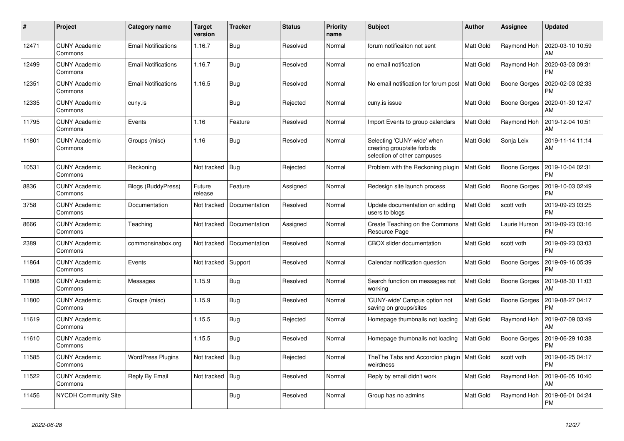| #     | Project                         | <b>Category name</b>       | <b>Target</b><br>version | <b>Tracker</b> | <b>Status</b> | <b>Priority</b><br>name | <b>Subject</b>                                                                           | <b>Author</b>    | <b>Assignee</b>     | <b>Updated</b>                |
|-------|---------------------------------|----------------------------|--------------------------|----------------|---------------|-------------------------|------------------------------------------------------------------------------------------|------------------|---------------------|-------------------------------|
| 12471 | <b>CUNY Academic</b><br>Commons | <b>Email Notifications</b> | 1.16.7                   | <b>Bug</b>     | Resolved      | Normal                  | forum notificaiton not sent                                                              | Matt Gold        | Raymond Hoh         | 2020-03-10 10:59<br>AM        |
| 12499 | <b>CUNY Academic</b><br>Commons | <b>Email Notifications</b> | 1.16.7                   | <b>Bug</b>     | Resolved      | Normal                  | no email notification                                                                    | <b>Matt Gold</b> | Raymond Hoh         | 2020-03-03 09:31<br><b>PM</b> |
| 12351 | <b>CUNY Academic</b><br>Commons | <b>Email Notifications</b> | 1.16.5                   | Bug            | Resolved      | Normal                  | No email notification for forum post                                                     | <b>Matt Gold</b> | Boone Gorges        | 2020-02-03 02:33<br><b>PM</b> |
| 12335 | <b>CUNY Academic</b><br>Commons | cuny.is                    |                          | <b>Bug</b>     | Rejected      | Normal                  | cuny.is issue                                                                            | Matt Gold        | Boone Gorges        | 2020-01-30 12:47<br>AM        |
| 11795 | <b>CUNY Academic</b><br>Commons | Events                     | 1.16                     | Feature        | Resolved      | Normal                  | Import Events to group calendars                                                         | Matt Gold        | Raymond Hoh         | 2019-12-04 10:51<br>AM        |
| 11801 | <b>CUNY Academic</b><br>Commons | Groups (misc)              | 1.16                     | Bug            | Resolved      | Normal                  | Selecting 'CUNY-wide' when<br>creating group/site forbids<br>selection of other campuses | Matt Gold        | Sonja Leix          | 2019-11-14 11:14<br>AM        |
| 10531 | <b>CUNY Academic</b><br>Commons | Reckoning                  | Not tracked              | Bug            | Rejected      | Normal                  | Problem with the Reckoning plugin                                                        | <b>Matt Gold</b> | <b>Boone Gorges</b> | 2019-10-04 02:31<br><b>PM</b> |
| 8836  | <b>CUNY Academic</b><br>Commons | <b>Blogs (BuddyPress)</b>  | Future<br>release        | Feature        | Assigned      | Normal                  | Redesign site launch process                                                             | Matt Gold        | <b>Boone Gorges</b> | 2019-10-03 02:49<br><b>PM</b> |
| 3758  | <b>CUNY Academic</b><br>Commons | Documentation              | Not tracked              | Documentation  | Resolved      | Normal                  | Update documentation on adding<br>users to blogs                                         | Matt Gold        | scott voth          | 2019-09-23 03:25<br><b>PM</b> |
| 8666  | <b>CUNY Academic</b><br>Commons | Teaching                   | Not tracked              | Documentation  | Assigned      | Normal                  | Create Teaching on the Commons<br>Resource Page                                          | <b>Matt Gold</b> | Laurie Hurson       | 2019-09-23 03:16<br><b>PM</b> |
| 2389  | <b>CUNY Academic</b><br>Commons | commonsinabox.org          | Not tracked              | Documentation  | Resolved      | Normal                  | <b>CBOX</b> slider documentation                                                         | <b>Matt Gold</b> | scott voth          | 2019-09-23 03:03<br><b>PM</b> |
| 11864 | <b>CUNY Academic</b><br>Commons | Events                     | Not tracked              | Support        | Resolved      | Normal                  | Calendar notification question                                                           | <b>Matt Gold</b> | Boone Gorges        | 2019-09-16 05:39<br><b>PM</b> |
| 11808 | <b>CUNY Academic</b><br>Commons | Messages                   | 1.15.9                   | Bug            | Resolved      | Normal                  | Search function on messages not<br>working                                               | <b>Matt Gold</b> | Boone Gorges        | 2019-08-30 11:03<br>AM        |
| 11800 | <b>CUNY Academic</b><br>Commons | Groups (misc)              | 1.15.9                   | Bug            | Resolved      | Normal                  | 'CUNY-wide' Campus option not<br>saving on groups/sites                                  | Matt Gold        | Boone Gorges        | 2019-08-27 04:17<br><b>PM</b> |
| 11619 | <b>CUNY Academic</b><br>Commons |                            | 1.15.5                   | <b>Bug</b>     | Rejected      | Normal                  | Homepage thumbnails not loading                                                          | <b>Matt Gold</b> | Raymond Hoh         | 2019-07-09 03:49<br>AM        |
| 11610 | <b>CUNY Academic</b><br>Commons |                            | 1.15.5                   | Bug            | Resolved      | Normal                  | Homepage thumbnails not loading                                                          | <b>Matt Gold</b> | Boone Gorges        | 2019-06-29 10:38<br><b>PM</b> |
| 11585 | <b>CUNY Academic</b><br>Commons | <b>WordPress Plugins</b>   | Not tracked              | Bug            | Rejected      | Normal                  | The The Tabs and Accordion plugin<br>weirdness                                           | Matt Gold        | scott voth          | 2019-06-25 04:17<br><b>PM</b> |
| 11522 | <b>CUNY Academic</b><br>Commons | Reply By Email             | Not tracked              | Bug            | Resolved      | Normal                  | Reply by email didn't work                                                               | <b>Matt Gold</b> | Raymond Hoh         | 2019-06-05 10:40<br>AM        |
| 11456 | NYCDH Community Site            |                            |                          | Bug            | Resolved      | Normal                  | Group has no admins                                                                      | Matt Gold        | Raymond Hoh         | 2019-06-01 04:24<br><b>PM</b> |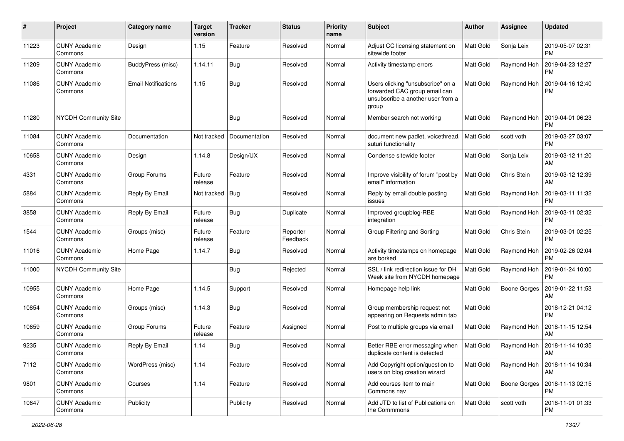| #     | Project                         | Category name       | <b>Target</b><br>version | <b>Tracker</b> | <b>Status</b>        | <b>Priority</b><br>name | <b>Subject</b>                                                                                                   | Author           | Assignee            | <b>Updated</b>                |
|-------|---------------------------------|---------------------|--------------------------|----------------|----------------------|-------------------------|------------------------------------------------------------------------------------------------------------------|------------------|---------------------|-------------------------------|
| 11223 | <b>CUNY Academic</b><br>Commons | Design              | 1.15                     | Feature        | Resolved             | Normal                  | Adjust CC licensing statement on<br>sitewide footer                                                              | <b>Matt Gold</b> | Sonja Leix          | 2019-05-07 02:31<br><b>PM</b> |
| 11209 | <b>CUNY Academic</b><br>Commons | BuddyPress (misc)   | 1.14.11                  | <b>Bug</b>     | Resolved             | Normal                  | Activity timestamp errors                                                                                        | Matt Gold        | Raymond Hoh         | 2019-04-23 12:27<br><b>PM</b> |
| 11086 | <b>CUNY Academic</b><br>Commons | Email Notifications | 1.15                     | <b>Bug</b>     | Resolved             | Normal                  | Users clicking "unsubscribe" on a<br>forwarded CAC group email can<br>unsubscribe a another user from a<br>group | <b>Matt Gold</b> | Raymond Hoh         | 2019-04-16 12:40<br><b>PM</b> |
| 11280 | <b>NYCDH Community Site</b>     |                     |                          | <b>Bug</b>     | Resolved             | Normal                  | Member search not working                                                                                        | Matt Gold        | Raymond Hoh         | 2019-04-01 06:23<br><b>PM</b> |
| 11084 | <b>CUNY Academic</b><br>Commons | Documentation       | Not tracked              | Documentation  | Resolved             | Normal                  | document new padlet, voicethread,<br>suturi functionality                                                        | <b>Matt Gold</b> | scott voth          | 2019-03-27 03:07<br><b>PM</b> |
| 10658 | <b>CUNY Academic</b><br>Commons | Design              | 1.14.8                   | Design/UX      | Resolved             | Normal                  | Condense sitewide footer                                                                                         | Matt Gold        | Sonja Leix          | 2019-03-12 11:20<br>AM        |
| 4331  | <b>CUNY Academic</b><br>Commons | Group Forums        | Future<br>release        | Feature        | Resolved             | Normal                  | Improve visibility of forum "post by<br>email" information                                                       | Matt Gold        | Chris Stein         | 2019-03-12 12:39<br>AM        |
| 5884  | <b>CUNY Academic</b><br>Commons | Reply By Email      | Not tracked   Bug        |                | Resolved             | Normal                  | Reply by email double posting<br>issues                                                                          | Matt Gold        | Raymond Hoh         | 2019-03-11 11:32<br><b>PM</b> |
| 3858  | <b>CUNY Academic</b><br>Commons | Reply By Email      | Future<br>release        | <b>Bug</b>     | Duplicate            | Normal                  | Improved groupblog-RBE<br>integration                                                                            | <b>Matt Gold</b> | Raymond Hoh         | 2019-03-11 02:32<br><b>PM</b> |
| 1544  | <b>CUNY Academic</b><br>Commons | Groups (misc)       | Future<br>release        | Feature        | Reporter<br>Feedback | Normal                  | Group Filtering and Sorting                                                                                      | Matt Gold        | Chris Stein         | 2019-03-01 02:25<br><b>PM</b> |
| 11016 | <b>CUNY Academic</b><br>Commons | Home Page           | 1.14.7                   | Bug            | Resolved             | Normal                  | Activity timestamps on homepage<br>are borked                                                                    | Matt Gold        | Raymond Hoh         | 2019-02-26 02:04<br><b>PM</b> |
| 11000 | <b>NYCDH Community Site</b>     |                     |                          | <b>Bug</b>     | Rejected             | Normal                  | SSL / link redirection issue for DH<br>Week site from NYCDH homepage                                             | Matt Gold        | Raymond Hoh         | 2019-01-24 10:00<br><b>PM</b> |
| 10955 | <b>CUNY Academic</b><br>Commons | Home Page           | 1.14.5                   | Support        | Resolved             | Normal                  | Homepage help link                                                                                               | <b>Matt Gold</b> | <b>Boone Gorges</b> | 2019-01-22 11:53<br>AM        |
| 10854 | <b>CUNY Academic</b><br>Commons | Groups (misc)       | 1.14.3                   | <b>Bug</b>     | Resolved             | Normal                  | Group membership request not<br>appearing on Requests admin tab                                                  | Matt Gold        |                     | 2018-12-21 04:12<br><b>PM</b> |
| 10659 | <b>CUNY Academic</b><br>Commons | Group Forums        | Future<br>release        | Feature        | Assigned             | Normal                  | Post to multiple groups via email                                                                                | Matt Gold        | Raymond Hoh         | 2018-11-15 12:54<br>AM        |
| 9235  | <b>CUNY Academic</b><br>Commons | Reply By Email      | 1.14                     | Bug            | Resolved             | Normal                  | Better RBE error messaging when<br>duplicate content is detected                                                 | <b>Matt Gold</b> | Raymond Hoh         | 2018-11-14 10:35<br>AM        |
| 7112  | <b>CUNY Academic</b><br>Commons | WordPress (misc)    | 1.14                     | Feature        | Resolved             | Normal                  | Add Copyright option/question to<br>users on blog creation wizard                                                | Matt Gold        | Raymond Hoh         | 2018-11-14 10:34<br>AM        |
| 9801  | <b>CUNY Academic</b><br>Commons | Courses             | 1.14                     | Feature        | Resolved             | Normal                  | Add courses item to main<br>Commons nav                                                                          | Matt Gold        | Boone Gorges        | 2018-11-13 02:15<br><b>PM</b> |
| 10647 | <b>CUNY Academic</b><br>Commons | Publicity           |                          | Publicity      | Resolved             | Normal                  | Add JTD to list of Publications on<br>the Commmons                                                               | Matt Gold        | scott voth          | 2018-11-01 01:33<br>PM        |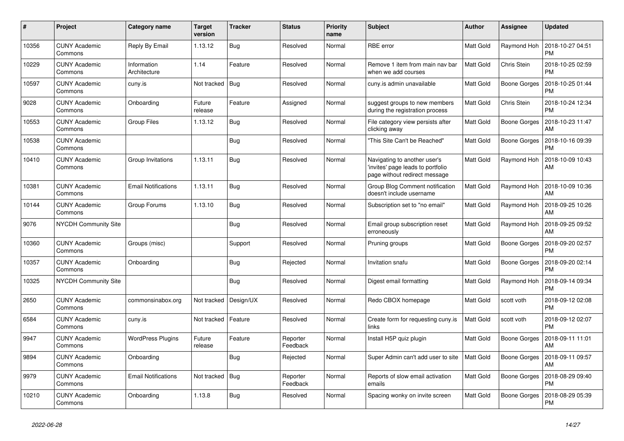| $\#$  | Project                         | Category name               | <b>Target</b><br>version | <b>Tracker</b> | <b>Status</b>        | <b>Priority</b><br>name | <b>Subject</b>                                                                                    | <b>Author</b>    | Assignee            | <b>Updated</b>                |
|-------|---------------------------------|-----------------------------|--------------------------|----------------|----------------------|-------------------------|---------------------------------------------------------------------------------------------------|------------------|---------------------|-------------------------------|
| 10356 | <b>CUNY Academic</b><br>Commons | Reply By Email              | 1.13.12                  | <b>Bug</b>     | Resolved             | Normal                  | <b>RBE</b> error                                                                                  | Matt Gold        | Raymond Hoh         | 2018-10-27 04:51<br><b>PM</b> |
| 10229 | <b>CUNY Academic</b><br>Commons | Information<br>Architecture | 1.14                     | Feature        | Resolved             | Normal                  | Remove 1 item from main nav bar<br>when we add courses                                            | Matt Gold        | Chris Stein         | 2018-10-25 02:59<br><b>PM</b> |
| 10597 | <b>CUNY Academic</b><br>Commons | cuny.is                     | Not tracked              | Bug            | Resolved             | Normal                  | cuny is admin unavailable                                                                         | Matt Gold        | <b>Boone Gorges</b> | 2018-10-25 01:44<br><b>PM</b> |
| 9028  | <b>CUNY Academic</b><br>Commons | Onboarding                  | Future<br>release        | Feature        | Assigned             | Normal                  | suggest groups to new members<br>during the registration process                                  | Matt Gold        | Chris Stein         | 2018-10-24 12:34<br><b>PM</b> |
| 10553 | <b>CUNY Academic</b><br>Commons | Group Files                 | 1.13.12                  | <b>Bug</b>     | Resolved             | Normal                  | File category view persists after<br>clicking away                                                | Matt Gold        | Boone Gorges        | 2018-10-23 11:47<br>AM        |
| 10538 | <b>CUNY Academic</b><br>Commons |                             |                          | Bug            | Resolved             | Normal                  | 'This Site Can't be Reached"                                                                      | <b>Matt Gold</b> | Boone Gorges        | 2018-10-16 09:39<br><b>PM</b> |
| 10410 | <b>CUNY Academic</b><br>Commons | Group Invitations           | 1.13.11                  | <b>Bug</b>     | Resolved             | Normal                  | Navigating to another user's<br>invites' page leads to portfolio<br>page without redirect message | Matt Gold        | Raymond Hoh         | 2018-10-09 10:43<br>AM        |
| 10381 | <b>CUNY Academic</b><br>Commons | <b>Email Notifications</b>  | 1.13.11                  | Bug            | Resolved             | Normal                  | Group Blog Comment notification<br>doesn't include username                                       | Matt Gold        | Raymond Hoh         | 2018-10-09 10:36<br>AM        |
| 10144 | <b>CUNY Academic</b><br>Commons | Group Forums                | 1.13.10                  | Bug            | Resolved             | Normal                  | Subscription set to "no email"                                                                    | Matt Gold        | Raymond Hoh         | 2018-09-25 10:26<br>AM        |
| 9076  | <b>NYCDH Community Site</b>     |                             |                          | <b>Bug</b>     | Resolved             | Normal                  | Email group subscription reset<br>erroneously                                                     | Matt Gold        | Raymond Hoh         | 2018-09-25 09:52<br>AM        |
| 10360 | <b>CUNY Academic</b><br>Commons | Groups (misc)               |                          | Support        | Resolved             | Normal                  | Pruning groups                                                                                    | Matt Gold        | Boone Gorges        | 2018-09-20 02:57<br><b>PM</b> |
| 10357 | <b>CUNY Academic</b><br>Commons | Onboarding                  |                          | Bug            | Rejected             | Normal                  | Invitation snafu                                                                                  | Matt Gold        | Boone Gorges        | 2018-09-20 02:14<br><b>PM</b> |
| 10325 | <b>NYCDH Community Site</b>     |                             |                          | <b>Bug</b>     | Resolved             | Normal                  | Digest email formatting                                                                           | Matt Gold        | Raymond Hoh         | 2018-09-14 09:34<br><b>PM</b> |
| 2650  | <b>CUNY Academic</b><br>Commons | commonsinabox.org           | Not tracked              | Design/UX      | Resolved             | Normal                  | Redo CBOX homepage                                                                                | Matt Gold        | scott voth          | 2018-09-12 02:08<br><b>PM</b> |
| 6584  | <b>CUNY Academic</b><br>Commons | cuny.is                     | Not tracked              | Feature        | Resolved             | Normal                  | Create form for requesting cuny.is<br>links                                                       | Matt Gold        | scott voth          | 2018-09-12 02:07<br><b>PM</b> |
| 9947  | <b>CUNY Academic</b><br>Commons | <b>WordPress Plugins</b>    | Future<br>release        | Feature        | Reporter<br>Feedback | Normal                  | Install H5P quiz plugin                                                                           | Matt Gold        | <b>Boone Gorges</b> | 2018-09-11 11:01<br>AM        |
| 9894  | <b>CUNY Academic</b><br>Commons | Onboarding                  |                          | Bug            | Rejected             | Normal                  | Super Admin can't add user to site                                                                | Matt Gold        | Boone Gorges        | 2018-09-11 09:57<br>AM        |
| 9979  | <b>CUNY Academic</b><br>Commons | <b>Email Notifications</b>  | Not tracked              | Bug            | Reporter<br>Feedback | Normal                  | Reports of slow email activation<br>emails                                                        | <b>Matt Gold</b> | Boone Gorges        | 2018-08-29 09:40<br><b>PM</b> |
| 10210 | <b>CUNY Academic</b><br>Commons | Onboarding                  | 1.13.8                   | <b>Bug</b>     | Resolved             | Normal                  | Spacing wonky on invite screen                                                                    | Matt Gold        | <b>Boone Gorges</b> | 2018-08-29 05:39<br>PM        |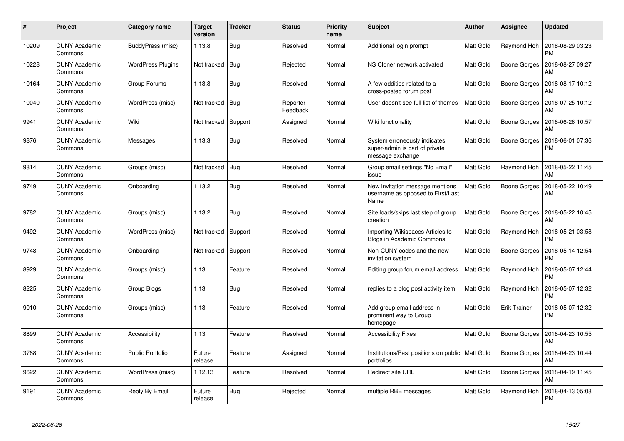| #     | Project                         | <b>Category name</b>     | <b>Target</b><br>version | <b>Tracker</b> | <b>Status</b>        | <b>Priority</b><br>name | <b>Subject</b>                                                                     | <b>Author</b>    | Assignee            | <b>Updated</b>                |
|-------|---------------------------------|--------------------------|--------------------------|----------------|----------------------|-------------------------|------------------------------------------------------------------------------------|------------------|---------------------|-------------------------------|
| 10209 | <b>CUNY Academic</b><br>Commons | BuddyPress (misc)        | 1.13.8                   | Bug            | Resolved             | Normal                  | Additional login prompt                                                            | <b>Matt Gold</b> | Raymond Hoh         | 2018-08-29 03:23<br><b>PM</b> |
| 10228 | <b>CUNY Academic</b><br>Commons | <b>WordPress Plugins</b> | Not tracked              | Bug            | Rejected             | Normal                  | NS Cloner network activated                                                        | <b>Matt Gold</b> | <b>Boone Gorges</b> | 2018-08-27 09:27<br>AM        |
| 10164 | <b>CUNY Academic</b><br>Commons | Group Forums             | 1.13.8                   | Bug            | Resolved             | Normal                  | A few oddities related to a<br>cross-posted forum post                             | <b>Matt Gold</b> | <b>Boone Gorges</b> | 2018-08-17 10:12<br>AM        |
| 10040 | <b>CUNY Academic</b><br>Commons | WordPress (misc)         | Not tracked              | Bug            | Reporter<br>Feedback | Normal                  | User doesn't see full list of themes                                               | Matt Gold        | Boone Gorges        | 2018-07-25 10:12<br>AM        |
| 9941  | <b>CUNY Academic</b><br>Commons | Wiki                     | Not tracked              | Support        | Assigned             | Normal                  | Wiki functionality                                                                 | Matt Gold        | Boone Gorges        | 2018-06-26 10:57<br>AM        |
| 9876  | <b>CUNY Academic</b><br>Commons | Messages                 | 1.13.3                   | <b>Bug</b>     | Resolved             | Normal                  | System erroneously indicates<br>super-admin is part of private<br>message exchange | <b>Matt Gold</b> | Boone Gorges        | 2018-06-01 07:36<br><b>PM</b> |
| 9814  | <b>CUNY Academic</b><br>Commons | Groups (misc)            | Not tracked              | Bug            | Resolved             | Normal                  | Group email settings "No Email"<br>issue                                           | <b>Matt Gold</b> | Raymond Hoh         | 2018-05-22 11:45<br>AM        |
| 9749  | <b>CUNY Academic</b><br>Commons | Onboarding               | 1.13.2                   | Bug            | Resolved             | Normal                  | New invitation message mentions<br>username as opposed to First/Last<br>Name       | <b>Matt Gold</b> | <b>Boone Gorges</b> | 2018-05-22 10:49<br>AM        |
| 9782  | <b>CUNY Academic</b><br>Commons | Groups (misc)            | 1.13.2                   | Bug            | Resolved             | Normal                  | Site loads/skips last step of group<br>creation                                    | <b>Matt Gold</b> | <b>Boone Gorges</b> | 2018-05-22 10:45<br>AM        |
| 9492  | <b>CUNY Academic</b><br>Commons | WordPress (misc)         | Not tracked              | Support        | Resolved             | Normal                  | Importing Wikispaces Articles to<br>Blogs in Academic Commons                      | <b>Matt Gold</b> | Raymond Hoh         | 2018-05-21 03:58<br><b>PM</b> |
| 9748  | <b>CUNY Academic</b><br>Commons | Onboarding               | Not tracked              | Support        | Resolved             | Normal                  | Non-CUNY codes and the new<br>invitation system                                    | <b>Matt Gold</b> | Boone Gorges        | 2018-05-14 12:54<br><b>PM</b> |
| 8929  | <b>CUNY Academic</b><br>Commons | Groups (misc)            | 1.13                     | Feature        | Resolved             | Normal                  | Editing group forum email address                                                  | <b>Matt Gold</b> | Raymond Hoh         | 2018-05-07 12:44<br><b>PM</b> |
| 8225  | <b>CUNY Academic</b><br>Commons | Group Blogs              | 1.13                     | <b>Bug</b>     | Resolved             | Normal                  | replies to a blog post activity item                                               | <b>Matt Gold</b> | Raymond Hoh         | 2018-05-07 12:32<br><b>PM</b> |
| 9010  | <b>CUNY Academic</b><br>Commons | Groups (misc)            | 1.13                     | Feature        | Resolved             | Normal                  | Add group email address in<br>prominent way to Group<br>homepage                   | <b>Matt Gold</b> | <b>Erik Trainer</b> | 2018-05-07 12:32<br><b>PM</b> |
| 8899  | <b>CUNY Academic</b><br>Commons | Accessibility            | 1.13                     | Feature        | Resolved             | Normal                  | <b>Accessibility Fixes</b>                                                         | Matt Gold        | Boone Gorges        | 2018-04-23 10:55<br>AM        |
| 3768  | <b>CUNY Academic</b><br>Commons | <b>Public Portfolio</b>  | Future<br>release        | Feature        | Assigned             | Normal                  | Institutions/Past positions on public   Matt Gold<br>portfolios                    |                  | Boone Gorges        | 2018-04-23 10:44<br>AM        |
| 9622  | <b>CUNY Academic</b><br>Commons | WordPress (misc)         | 1.12.13                  | Feature        | Resolved             | Normal                  | <b>Redirect site URL</b>                                                           | <b>Matt Gold</b> | <b>Boone Gorges</b> | 2018-04-19 11:45<br>AM        |
| 9191  | <b>CUNY Academic</b><br>Commons | Reply By Email           | Future<br>release        | <b>Bug</b>     | Rejected             | Normal                  | multiple RBE messages                                                              | <b>Matt Gold</b> | Raymond Hoh         | 2018-04-13 05:08<br><b>PM</b> |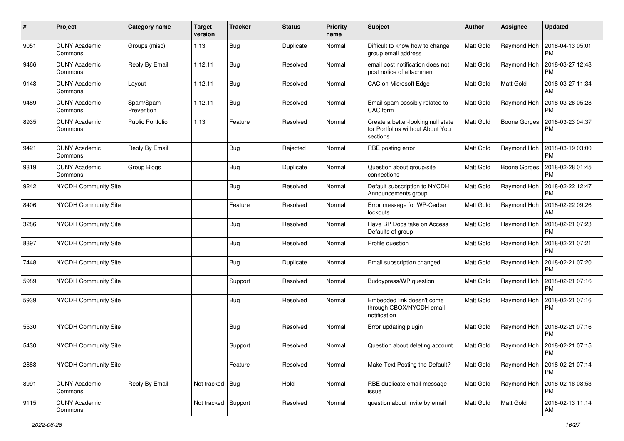| $\sharp$ | Project                         | Category name           | <b>Target</b><br>version | <b>Tracker</b> | <b>Status</b> | <b>Priority</b><br>name | <b>Subject</b>                                                                     | Author           | <b>Assignee</b>     | <b>Updated</b>                       |
|----------|---------------------------------|-------------------------|--------------------------|----------------|---------------|-------------------------|------------------------------------------------------------------------------------|------------------|---------------------|--------------------------------------|
| 9051     | <b>CUNY Academic</b><br>Commons | Groups (misc)           | 1.13                     | <b>Bug</b>     | Duplicate     | Normal                  | Difficult to know how to change<br>group email address                             | Matt Gold        | Raymond Hoh         | 2018-04-13 05:01<br><b>PM</b>        |
| 9466     | <b>CUNY Academic</b><br>Commons | Reply By Email          | 1.12.11                  | <b>Bug</b>     | Resolved      | Normal                  | email post notification does not<br>post notice of attachment                      | Matt Gold        | Raymond Hoh         | 2018-03-27 12:48<br><b>PM</b>        |
| 9148     | <b>CUNY Academic</b><br>Commons | Layout                  | 1.12.11                  | <b>Bug</b>     | Resolved      | Normal                  | CAC on Microsoft Edge                                                              | <b>Matt Gold</b> | Matt Gold           | 2018-03-27 11:34<br>AM               |
| 9489     | <b>CUNY Academic</b><br>Commons | Spam/Spam<br>Prevention | 1.12.11                  | <b>Bug</b>     | Resolved      | Normal                  | Email spam possibly related to<br>CAC form                                         | Matt Gold        | Raymond Hoh         | 2018-03-26 05:28<br><b>PM</b>        |
| 8935     | <b>CUNY Academic</b><br>Commons | <b>Public Portfolio</b> | 1.13                     | Feature        | Resolved      | Normal                  | Create a better-looking null state<br>for Portfolios without About You<br>sections | Matt Gold        | <b>Boone Gorges</b> | 2018-03-23 04:37<br><b>PM</b>        |
| 9421     | <b>CUNY Academic</b><br>Commons | Reply By Email          |                          | <b>Bug</b>     | Rejected      | Normal                  | RBE posting error                                                                  | Matt Gold        | Raymond Hoh         | 2018-03-19 03:00<br><b>PM</b>        |
| 9319     | <b>CUNY Academic</b><br>Commons | Group Blogs             |                          | <b>Bug</b>     | Duplicate     | Normal                  | Question about group/site<br>connections                                           | Matt Gold        | Boone Gorges        | 2018-02-28 01:45<br><b>PM</b>        |
| 9242     | NYCDH Community Site            |                         |                          | Bug            | Resolved      | Normal                  | Default subscription to NYCDH<br>Announcements group                               | Matt Gold        | Raymond Hoh         | 2018-02-22 12:47<br><b>PM</b>        |
| 8406     | NYCDH Community Site            |                         |                          | Feature        | Resolved      | Normal                  | Error message for WP-Cerber<br>lockouts                                            | Matt Gold        | Raymond Hoh         | 2018-02-22 09:26<br>AM               |
| 3286     | <b>NYCDH Community Site</b>     |                         |                          | <b>Bug</b>     | Resolved      | Normal                  | Have BP Docs take on Access<br>Defaults of group                                   | Matt Gold        | Raymond Hoh         | 2018-02-21 07:23<br><b>PM</b>        |
| 8397     | NYCDH Community Site            |                         |                          | Bug            | Resolved      | Normal                  | Profile question                                                                   | <b>Matt Gold</b> | Raymond Hoh         | 2018-02-21 07:21<br><b>PM</b>        |
| 7448     | NYCDH Community Site            |                         |                          | <b>Bug</b>     | Duplicate     | Normal                  | Email subscription changed                                                         | <b>Matt Gold</b> | Raymond Hoh         | 2018-02-21 07:20<br><b>PM</b>        |
| 5989     | NYCDH Community Site            |                         |                          | Support        | Resolved      | Normal                  | Buddypress/WP question                                                             | Matt Gold        | Raymond Hoh         | 2018-02-21 07:16<br><b>PM</b>        |
| 5939     | NYCDH Community Site            |                         |                          | <b>Bug</b>     | Resolved      | Normal                  | Embedded link doesn't come<br>through CBOX/NYCDH email<br>notification             | <b>Matt Gold</b> | Raymond Hoh         | 2018-02-21 07:16<br><b>PM</b>        |
| 5530     | NYCDH Community Site            |                         |                          | <b>Bug</b>     | Resolved      | Normal                  | Error updating plugin                                                              | Matt Gold        | Raymond Hoh         | 2018-02-21 07:16<br><b>PM</b>        |
| 5430     | NYCDH Community Site            |                         |                          | Support        | Resolved      | Normal                  | Question about deleting account                                                    | Matt Gold        |                     | Raymond Hoh   2018-02-21 07:15<br>PM |
| 2888     | NYCDH Community Site            |                         |                          | Feature        | Resolved      | Normal                  | Make Text Posting the Default?                                                     | Matt Gold        | Raymond Hoh         | 2018-02-21 07:14<br><b>PM</b>        |
| 8991     | <b>CUNY Academic</b><br>Commons | Reply By Email          | Not tracked Bug          |                | Hold          | Normal                  | RBE duplicate email message<br>issue                                               | Matt Gold        | Raymond Hoh         | 2018-02-18 08:53<br><b>PM</b>        |
| 9115     | <b>CUNY Academic</b><br>Commons |                         | Not tracked Support      |                | Resolved      | Normal                  | question about invite by email                                                     | Matt Gold        | Matt Gold           | 2018-02-13 11:14<br>AM               |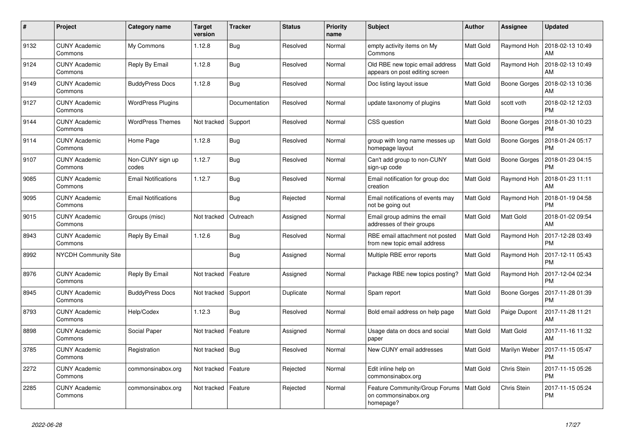| #    | Project                         | <b>Category name</b>       | <b>Target</b><br>version | <b>Tracker</b> | <b>Status</b> | <b>Priority</b><br>name | <b>Subject</b>                                                      | <b>Author</b>    | Assignee            | <b>Updated</b>                |
|------|---------------------------------|----------------------------|--------------------------|----------------|---------------|-------------------------|---------------------------------------------------------------------|------------------|---------------------|-------------------------------|
| 9132 | <b>CUNY Academic</b><br>Commons | My Commons                 | 1.12.8                   | Bug            | Resolved      | Normal                  | empty activity items on My<br>Commons                               | <b>Matt Gold</b> | Raymond Hoh         | 2018-02-13 10:49<br>AM        |
| 9124 | <b>CUNY Academic</b><br>Commons | Reply By Email             | 1.12.8                   | Bug            | Resolved      | Normal                  | Old RBE new topic email address<br>appears on post editing screen   | <b>Matt Gold</b> | Raymond Hoh         | 2018-02-13 10:49<br>AM        |
| 9149 | <b>CUNY Academic</b><br>Commons | <b>BuddyPress Docs</b>     | 1.12.8                   | Bug            | Resolved      | Normal                  | Doc listing layout issue                                            | Matt Gold        | Boone Gorges        | 2018-02-13 10:36<br>AM        |
| 9127 | <b>CUNY Academic</b><br>Commons | <b>WordPress Plugins</b>   |                          | Documentation  | Resolved      | Normal                  | update taxonomy of plugins                                          | Matt Gold        | scott voth          | 2018-02-12 12:03<br><b>PM</b> |
| 9144 | <b>CUNY Academic</b><br>Commons | <b>WordPress Themes</b>    | Not tracked              | Support        | Resolved      | Normal                  | CSS question                                                        | Matt Gold        | <b>Boone Gorges</b> | 2018-01-30 10:23<br><b>PM</b> |
| 9114 | <b>CUNY Academic</b><br>Commons | Home Page                  | 1.12.8                   | <b>Bug</b>     | Resolved      | Normal                  | group with long name messes up<br>homepage layout                   | <b>Matt Gold</b> | Boone Gorges        | 2018-01-24 05:17<br><b>PM</b> |
| 9107 | <b>CUNY Academic</b><br>Commons | Non-CUNY sign up<br>codes  | 1.12.7                   | Bug            | Resolved      | Normal                  | Can't add group to non-CUNY<br>sign-up code                         | Matt Gold        | Boone Gorges        | 2018-01-23 04:15<br><b>PM</b> |
| 9085 | <b>CUNY Academic</b><br>Commons | <b>Email Notifications</b> | 1.12.7                   | Bug            | Resolved      | Normal                  | Email notification for group doc<br>creation                        | Matt Gold        | Raymond Hoh         | 2018-01-23 11:11<br>AM        |
| 9095 | <b>CUNY Academic</b><br>Commons | <b>Email Notifications</b> |                          | Bug            | Rejected      | Normal                  | Email notifications of events may<br>not be going out               | Matt Gold        | Raymond Hoh         | 2018-01-19 04:58<br><b>PM</b> |
| 9015 | <b>CUNY Academic</b><br>Commons | Groups (misc)              | Not tracked              | Outreach       | Assigned      | Normal                  | Email group admins the email<br>addresses of their groups           | Matt Gold        | Matt Gold           | 2018-01-02 09:54<br>AM        |
| 8943 | <b>CUNY Academic</b><br>Commons | Reply By Email             | 1.12.6                   | Bug            | Resolved      | Normal                  | RBE email attachment not posted<br>from new topic email address     | Matt Gold        | Raymond Hoh         | 2017-12-28 03:49<br><b>PM</b> |
| 8992 | <b>NYCDH Community Site</b>     |                            |                          | Bug            | Assigned      | Normal                  | Multiple RBE error reports                                          | Matt Gold        | Raymond Hoh         | 2017-12-11 05:43<br><b>PM</b> |
| 8976 | <b>CUNY Academic</b><br>Commons | Reply By Email             | Not tracked              | Feature        | Assigned      | Normal                  | Package RBE new topics posting?                                     | <b>Matt Gold</b> | Raymond Hoh         | 2017-12-04 02:34<br><b>PM</b> |
| 8945 | <b>CUNY Academic</b><br>Commons | <b>BuddyPress Docs</b>     | Not tracked              | Support        | Duplicate     | Normal                  | Spam report                                                         | Matt Gold        | Boone Gorges        | 2017-11-28 01:39<br><b>PM</b> |
| 8793 | <b>CUNY Academic</b><br>Commons | Help/Codex                 | 1.12.3                   | Bug            | Resolved      | Normal                  | Bold email address on help page                                     | <b>Matt Gold</b> | Paige Dupont        | 2017-11-28 11:21<br>AM        |
| 8898 | <b>CUNY Academic</b><br>Commons | Social Paper               | Not tracked              | Feature        | Assigned      | Normal                  | Usage data on docs and social<br>paper                              | Matt Gold        | Matt Gold           | 2017-11-16 11:32<br><b>AM</b> |
| 3785 | <b>CUNY Academic</b><br>Commons | Registration               | Not tracked              | Bug            | Resolved      | Normal                  | New CUNY email addresses                                            | Matt Gold        | Marilyn Weber       | 2017-11-15 05:47<br><b>PM</b> |
| 2272 | <b>CUNY Academic</b><br>Commons | commonsinabox.org          | Not tracked              | Feature        | Rejected      | Normal                  | Edit inline help on<br>commonsinabox.org                            | Matt Gold        | Chris Stein         | 2017-11-15 05:26<br><b>PM</b> |
| 2285 | <b>CUNY Academic</b><br>Commons | commonsinabox.org          | Not tracked              | Feature        | Rejected      | Normal                  | Feature Community/Group Forums<br>on commonsinabox.org<br>homepage? | <b>Matt Gold</b> | Chris Stein         | 2017-11-15 05:24<br><b>PM</b> |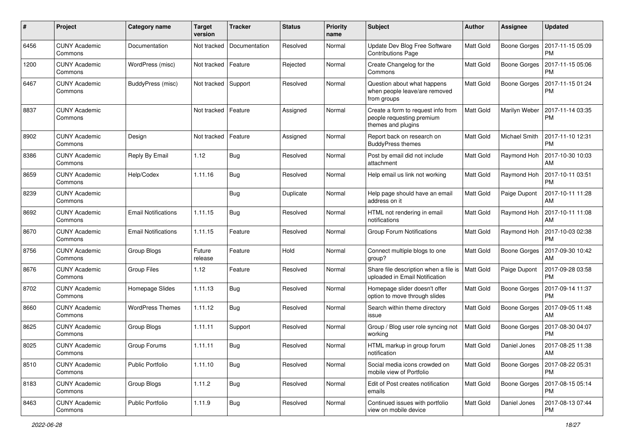| #    | Project                         | Category name              | <b>Target</b><br>version | <b>Tracker</b> | <b>Status</b> | <b>Priority</b><br>name | <b>Subject</b>                                                                        | Author           | <b>Assignee</b>     | <b>Updated</b>                |
|------|---------------------------------|----------------------------|--------------------------|----------------|---------------|-------------------------|---------------------------------------------------------------------------------------|------------------|---------------------|-------------------------------|
| 6456 | <b>CUNY Academic</b><br>Commons | Documentation              | Not tracked              | Documentation  | Resolved      | Normal                  | Update Dev Blog Free Software<br><b>Contributions Page</b>                            | <b>Matt Gold</b> | <b>Boone Gorges</b> | 2017-11-15 05:09<br><b>PM</b> |
| 1200 | <b>CUNY Academic</b><br>Commons | WordPress (misc)           | Not tracked              | Feature        | Rejected      | Normal                  | Create Changelog for the<br>Commons                                                   | Matt Gold        | <b>Boone Gorges</b> | 2017-11-15 05:06<br><b>PM</b> |
| 6467 | <b>CUNY Academic</b><br>Commons | BuddyPress (misc)          | Not tracked              | Support        | Resolved      | Normal                  | Question about what happens<br>when people leave/are removed<br>from groups           | Matt Gold        | <b>Boone Gorges</b> | 2017-11-15 01:24<br><b>PM</b> |
| 8837 | <b>CUNY Academic</b><br>Commons |                            | Not tracked              | Feature        | Assigned      | Normal                  | Create a form to request info from<br>people requesting premium<br>themes and plugins | Matt Gold        | Marilyn Weber       | 2017-11-14 03:35<br><b>PM</b> |
| 8902 | <b>CUNY Academic</b><br>Commons | Design                     | Not tracked              | Feature        | Assigned      | Normal                  | Report back on research on<br><b>BuddyPress themes</b>                                | Matt Gold        | Michael Smith       | 2017-11-10 12:31<br><b>PM</b> |
| 8386 | <b>CUNY Academic</b><br>Commons | Reply By Email             | 1.12                     | <b>Bug</b>     | Resolved      | Normal                  | Post by email did not include<br>attachment                                           | Matt Gold        | Raymond Hoh         | 2017-10-30 10:03<br>AM        |
| 8659 | <b>CUNY Academic</b><br>Commons | Help/Codex                 | 1.11.16                  | <b>Bug</b>     | Resolved      | Normal                  | Help email us link not working                                                        | Matt Gold        | Raymond Hoh         | 2017-10-11 03:51<br><b>PM</b> |
| 8239 | <b>CUNY Academic</b><br>Commons |                            |                          | <b>Bug</b>     | Duplicate     | Normal                  | Help page should have an email<br>address on it                                       | Matt Gold        | Paige Dupont        | 2017-10-11 11:28<br>AM        |
| 8692 | <b>CUNY Academic</b><br>Commons | Email Notifications        | 1.11.15                  | Bug            | Resolved      | Normal                  | HTML not rendering in email<br>notifications                                          | Matt Gold        | Raymond Hoh         | 2017-10-11 11:08<br>AM        |
| 8670 | <b>CUNY Academic</b><br>Commons | <b>Email Notifications</b> | 1.11.15                  | Feature        | Resolved      | Normal                  | <b>Group Forum Notifications</b>                                                      | Matt Gold        | Raymond Hoh         | 2017-10-03 02:38<br><b>PM</b> |
| 8756 | <b>CUNY Academic</b><br>Commons | Group Blogs                | Future<br>release        | Feature        | Hold          | Normal                  | Connect multiple blogs to one<br>group?                                               | Matt Gold        | <b>Boone Gorges</b> | 2017-09-30 10:42<br>AM        |
| 8676 | <b>CUNY Academic</b><br>Commons | <b>Group Files</b>         | 1.12                     | Feature        | Resolved      | Normal                  | Share file description when a file is<br>uploaded in Email Notification               | Matt Gold        | Paige Dupont        | 2017-09-28 03:58<br><b>PM</b> |
| 8702 | <b>CUNY Academic</b><br>Commons | Homepage Slides            | 1.11.13                  | <b>Bug</b>     | Resolved      | Normal                  | Homepage slider doesn't offer<br>option to move through slides                        | Matt Gold        | <b>Boone Gorges</b> | 2017-09-14 11:37<br><b>PM</b> |
| 8660 | <b>CUNY Academic</b><br>Commons | <b>WordPress Themes</b>    | 1.11.12                  | <b>Bug</b>     | Resolved      | Normal                  | Search within theme directory<br>issue                                                | <b>Matt Gold</b> | <b>Boone Gorges</b> | 2017-09-05 11:48<br>AM        |
| 8625 | <b>CUNY Academic</b><br>Commons | Group Blogs                | 1.11.11                  | Support        | Resolved      | Normal                  | Group / Blog user role syncing not<br>working                                         | Matt Gold        | Boone Gorges        | 2017-08-30 04:07<br><b>PM</b> |
| 8025 | <b>CUNY Academic</b><br>Commons | Group Forums               | 1.11.11                  | <b>Bug</b>     | Resolved      | Normal                  | HTML markup in group forum<br>notification                                            | Matt Gold        | Daniel Jones        | 2017-08-25 11:38<br>AM        |
| 8510 | <b>CUNY Academic</b><br>Commons | <b>Public Portfolio</b>    | 1.11.10                  | <b>Bug</b>     | Resolved      | Normal                  | Social media icons crowded on<br>mobile view of Portfolio                             | Matt Gold        | Boone Gorges        | 2017-08-22 05:31<br><b>PM</b> |
| 8183 | <b>CUNY Academic</b><br>Commons | Group Blogs                | 1.11.2                   | Bug            | Resolved      | Normal                  | Edit of Post creates notification<br>emails                                           | Matt Gold        | Boone Gorges        | 2017-08-15 05:14<br><b>PM</b> |
| 8463 | <b>CUNY Academic</b><br>Commons | <b>Public Portfolio</b>    | 1.11.9                   | <b>Bug</b>     | Resolved      | Normal                  | Continued issues with portfolio<br>view on mobile device                              | Matt Gold        | Daniel Jones        | 2017-08-13 07:44<br><b>PM</b> |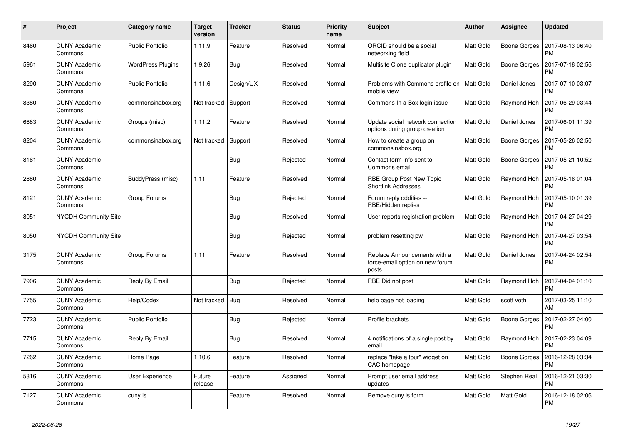| #    | Project                         | <b>Category name</b>     | <b>Target</b><br>version | <b>Tracker</b> | <b>Status</b> | <b>Priority</b><br>name | <b>Subject</b>                                                           | <b>Author</b>    | Assignee            | <b>Updated</b>                |
|------|---------------------------------|--------------------------|--------------------------|----------------|---------------|-------------------------|--------------------------------------------------------------------------|------------------|---------------------|-------------------------------|
| 8460 | <b>CUNY Academic</b><br>Commons | <b>Public Portfolio</b>  | 1.11.9                   | Feature        | Resolved      | Normal                  | ORCID should be a social<br>networking field                             | <b>Matt Gold</b> | Boone Gorges        | 2017-08-13 06:40<br><b>PM</b> |
| 5961 | <b>CUNY Academic</b><br>Commons | <b>WordPress Plugins</b> | 1.9.26                   | Bug            | Resolved      | Normal                  | Multisite Clone duplicator plugin                                        | <b>Matt Gold</b> | <b>Boone Gorges</b> | 2017-07-18 02:56<br><b>PM</b> |
| 8290 | <b>CUNY Academic</b><br>Commons | <b>Public Portfolio</b>  | 1.11.6                   | Design/UX      | Resolved      | Normal                  | Problems with Commons profile on<br>mobile view                          | <b>Matt Gold</b> | Daniel Jones        | 2017-07-10 03:07<br><b>PM</b> |
| 8380 | <b>CUNY Academic</b><br>Commons | commonsinabox.org        | Not tracked              | Support        | Resolved      | Normal                  | Commons In a Box login issue                                             | Matt Gold        | Raymond Hoh         | 2017-06-29 03:44<br><b>PM</b> |
| 6683 | <b>CUNY Academic</b><br>Commons | Groups (misc)            | 1.11.2                   | Feature        | Resolved      | Normal                  | Update social network connection<br>options during group creation        | <b>Matt Gold</b> | Daniel Jones        | 2017-06-01 11:39<br><b>PM</b> |
| 8204 | <b>CUNY Academic</b><br>Commons | commonsinabox.org        | Not tracked              | Support        | Resolved      | Normal                  | How to create a group on<br>commonsinabox.org                            | <b>Matt Gold</b> | <b>Boone Gorges</b> | 2017-05-26 02:50<br><b>PM</b> |
| 8161 | <b>CUNY Academic</b><br>Commons |                          |                          | <b>Bug</b>     | Rejected      | Normal                  | Contact form info sent to<br>Commons email                               | Matt Gold        | Boone Gorges        | 2017-05-21 10:52<br><b>PM</b> |
| 2880 | <b>CUNY Academic</b><br>Commons | BuddyPress (misc)        | 1.11                     | Feature        | Resolved      | Normal                  | RBE Group Post New Topic<br><b>Shortlink Addresses</b>                   | Matt Gold        | Raymond Hoh         | 2017-05-18 01:04<br><b>PM</b> |
| 8121 | <b>CUNY Academic</b><br>Commons | Group Forums             |                          | Bug            | Rejected      | Normal                  | Forum reply oddities --<br>RBE/Hidden replies                            | Matt Gold        | Raymond Hoh         | 2017-05-10 01:39<br><b>PM</b> |
| 8051 | <b>NYCDH Community Site</b>     |                          |                          | Bug            | Resolved      | Normal                  | User reports registration problem                                        | Matt Gold        | Raymond Hoh         | 2017-04-27 04:29<br><b>PM</b> |
| 8050 | <b>NYCDH Community Site</b>     |                          |                          | Bug            | Rejected      | Normal                  | problem resetting pw                                                     | Matt Gold        | Raymond Hoh         | 2017-04-27 03:54<br><b>PM</b> |
| 3175 | <b>CUNY Academic</b><br>Commons | Group Forums             | 1.11                     | Feature        | Resolved      | Normal                  | Replace Announcements with a<br>force-email option on new forum<br>posts | <b>Matt Gold</b> | Daniel Jones        | 2017-04-24 02:54<br><b>PM</b> |
| 7906 | <b>CUNY Academic</b><br>Commons | Reply By Email           |                          | Bug            | Rejected      | Normal                  | RBE Did not post                                                         | Matt Gold        | Raymond Hoh         | 2017-04-04 01:10<br><b>PM</b> |
| 7755 | <b>CUNY Academic</b><br>Commons | Help/Codex               | Not tracked              | <b>Bug</b>     | Resolved      | Normal                  | help page not loading                                                    | Matt Gold        | scott voth          | 2017-03-25 11:10<br>AM        |
| 7723 | <b>CUNY Academic</b><br>Commons | <b>Public Portfolio</b>  |                          | Bug            | Rejected      | Normal                  | Profile brackets                                                         | <b>Matt Gold</b> | Boone Gorges        | 2017-02-27 04:00<br><b>PM</b> |
| 7715 | <b>CUNY Academic</b><br>Commons | Reply By Email           |                          | Bug            | Resolved      | Normal                  | 4 notifications of a single post by<br>email                             | Matt Gold        | Raymond Hoh         | 2017-02-23 04:09<br><b>PM</b> |
| 7262 | <b>CUNY Academic</b><br>Commons | Home Page                | 1.10.6                   | Feature        | Resolved      | Normal                  | replace "take a tour" widget on<br>CAC homepage                          | <b>Matt Gold</b> | Boone Gorges        | 2016-12-28 03:34<br><b>PM</b> |
| 5316 | <b>CUNY Academic</b><br>Commons | <b>User Experience</b>   | Future<br>release        | Feature        | Assigned      | Normal                  | Prompt user email address<br>updates                                     | Matt Gold        | Stephen Real        | 2016-12-21 03:30<br><b>PM</b> |
| 7127 | <b>CUNY Academic</b><br>Commons | cuny.is                  |                          | Feature        | Resolved      | Normal                  | Remove cuny.is form                                                      | Matt Gold        | Matt Gold           | 2016-12-18 02:06<br><b>PM</b> |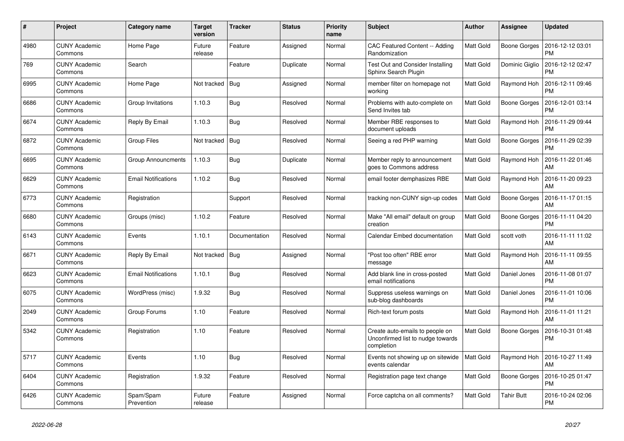| #    | Project                         | <b>Category name</b>       | <b>Target</b><br>version | <b>Tracker</b> | <b>Status</b> | <b>Priority</b><br>name | <b>Subject</b>                                                                     | <b>Author</b>    | Assignee            | <b>Updated</b>                |
|------|---------------------------------|----------------------------|--------------------------|----------------|---------------|-------------------------|------------------------------------------------------------------------------------|------------------|---------------------|-------------------------------|
| 4980 | <b>CUNY Academic</b><br>Commons | Home Page                  | Future<br>release        | Feature        | Assigned      | Normal                  | CAC Featured Content -- Adding<br>Randomization                                    | Matt Gold        | Boone Gorges        | 2016-12-12 03:01<br><b>PM</b> |
| 769  | <b>CUNY Academic</b><br>Commons | Search                     |                          | Feature        | Duplicate     | Normal                  | Test Out and Consider Installing<br>Sphinx Search Plugin                           | <b>Matt Gold</b> | Dominic Giglio      | 2016-12-12 02:47<br><b>PM</b> |
| 6995 | <b>CUNY Academic</b><br>Commons | Home Page                  | Not tracked              | Bug            | Assigned      | Normal                  | member filter on homepage not<br>working                                           | Matt Gold        | Raymond Hoh         | 2016-12-11 09:46<br><b>PM</b> |
| 6686 | <b>CUNY Academic</b><br>Commons | Group Invitations          | 1.10.3                   | <b>Bug</b>     | Resolved      | Normal                  | Problems with auto-complete on<br>Send Invites tab                                 | <b>Matt Gold</b> | <b>Boone Gorges</b> | 2016-12-01 03:14<br><b>PM</b> |
| 6674 | <b>CUNY Academic</b><br>Commons | Reply By Email             | 1.10.3                   | <b>Bug</b>     | Resolved      | Normal                  | Member RBE responses to<br>document uploads                                        | Matt Gold        | Raymond Hoh         | 2016-11-29 09:44<br><b>PM</b> |
| 6872 | <b>CUNY Academic</b><br>Commons | <b>Group Files</b>         | Not tracked              | Bug            | Resolved      | Normal                  | Seeing a red PHP warning                                                           | Matt Gold        | Boone Gorges        | 2016-11-29 02:39<br><b>PM</b> |
| 6695 | <b>CUNY Academic</b><br>Commons | <b>Group Announcments</b>  | 1.10.3                   | <b>Bug</b>     | Duplicate     | Normal                  | Member reply to announcement<br>goes to Commons address                            | <b>Matt Gold</b> | Raymond Hoh         | 2016-11-22 01:46<br>AM        |
| 6629 | <b>CUNY Academic</b><br>Commons | <b>Email Notifications</b> | 1.10.2                   | <b>Bug</b>     | Resolved      | Normal                  | email footer demphasizes RBE                                                       | <b>Matt Gold</b> | Raymond Hoh         | 2016-11-20 09:23<br>AM        |
| 6773 | <b>CUNY Academic</b><br>Commons | Registration               |                          | Support        | Resolved      | Normal                  | tracking non-CUNY sign-up codes                                                    | Matt Gold        | <b>Boone Gorges</b> | 2016-11-17 01:15<br>AM        |
| 6680 | <b>CUNY Academic</b><br>Commons | Groups (misc)              | 1.10.2                   | Feature        | Resolved      | Normal                  | Make "All email" default on group<br>creation                                      | Matt Gold        | Boone Gorges        | 2016-11-11 04:20<br><b>PM</b> |
| 6143 | <b>CUNY Academic</b><br>Commons | Events                     | 1.10.1                   | Documentation  | Resolved      | Normal                  | Calendar Embed documentation                                                       | Matt Gold        | scott voth          | 2016-11-11 11:02<br>AM        |
| 6671 | <b>CUNY Academic</b><br>Commons | Reply By Email             | Not tracked              | Bug            | Assigned      | Normal                  | "Post too often" RBE error<br>message                                              | <b>Matt Gold</b> | Raymond Hoh         | 2016-11-11 09:55<br>AM        |
| 6623 | <b>CUNY Academic</b><br>Commons | <b>Email Notifications</b> | 1.10.1                   | <b>Bug</b>     | Resolved      | Normal                  | Add blank line in cross-posted<br>email notifications                              | <b>Matt Gold</b> | Daniel Jones        | 2016-11-08 01:07<br><b>PM</b> |
| 6075 | <b>CUNY Academic</b><br>Commons | WordPress (misc)           | 1.9.32                   | <b>Bug</b>     | Resolved      | Normal                  | Suppress useless warnings on<br>sub-blog dashboards                                | <b>Matt Gold</b> | Daniel Jones        | 2016-11-01 10:06<br><b>PM</b> |
| 2049 | <b>CUNY Academic</b><br>Commons | Group Forums               | 1.10                     | Feature        | Resolved      | Normal                  | Rich-text forum posts                                                              | <b>Matt Gold</b> | Raymond Hoh         | 2016-11-01 11:21<br>AM        |
| 5342 | <b>CUNY Academic</b><br>Commons | Registration               | 1.10                     | Feature        | Resolved      | Normal                  | Create auto-emails to people on<br>Unconfirmed list to nudge towards<br>completion | Matt Gold        | Boone Gorges        | 2016-10-31 01:48<br><b>PM</b> |
| 5717 | <b>CUNY Academic</b><br>Commons | Events                     | 1.10                     | Bug            | Resolved      | Normal                  | Events not showing up on sitewide<br>events calendar                               | <b>Matt Gold</b> | Raymond Hoh         | 2016-10-27 11:49<br>AM        |
| 6404 | <b>CUNY Academic</b><br>Commons | Registration               | 1.9.32                   | Feature        | Resolved      | Normal                  | Registration page text change                                                      | <b>Matt Gold</b> | Boone Gorges        | 2016-10-25 01:47<br><b>PM</b> |
| 6426 | <b>CUNY Academic</b><br>Commons | Spam/Spam<br>Prevention    | Future<br>release        | Feature        | Assigned      | Normal                  | Force captcha on all comments?                                                     | <b>Matt Gold</b> | Tahir Butt          | 2016-10-24 02:06<br><b>PM</b> |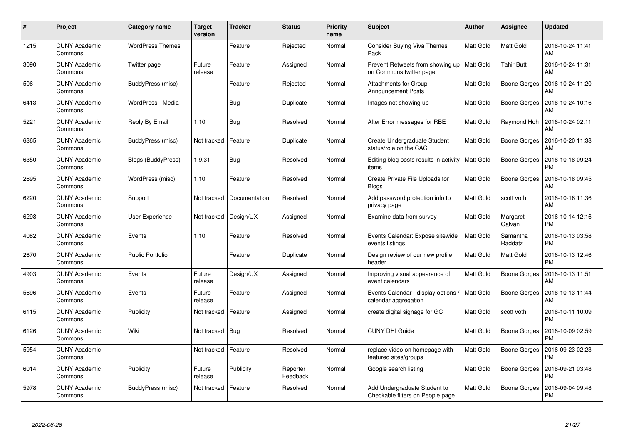| #    | Project                         | <b>Category name</b>      | <b>Target</b><br>version | <b>Tracker</b> | <b>Status</b>        | <b>Priority</b><br>name | <b>Subject</b>                                                   | <b>Author</b>    | Assignee            | <b>Updated</b>                |
|------|---------------------------------|---------------------------|--------------------------|----------------|----------------------|-------------------------|------------------------------------------------------------------|------------------|---------------------|-------------------------------|
| 1215 | <b>CUNY Academic</b><br>Commons | <b>WordPress Themes</b>   |                          | Feature        | Rejected             | Normal                  | Consider Buying Viva Themes<br>Pack                              | <b>Matt Gold</b> | Matt Gold           | 2016-10-24 11:41<br>AM        |
| 3090 | <b>CUNY Academic</b><br>Commons | Twitter page              | Future<br>release        | Feature        | Assigned             | Normal                  | Prevent Retweets from showing up<br>on Commons twitter page      | <b>Matt Gold</b> | Tahir Butt          | 2016-10-24 11:31<br>AM        |
| 506  | <b>CUNY Academic</b><br>Commons | BuddyPress (misc)         |                          | Feature        | Rejected             | Normal                  | <b>Attachments for Group</b><br><b>Announcement Posts</b>        | <b>Matt Gold</b> | <b>Boone Gorges</b> | 2016-10-24 11:20<br>AM        |
| 6413 | <b>CUNY Academic</b><br>Commons | WordPress - Media         |                          | <b>Bug</b>     | Duplicate            | Normal                  | Images not showing up                                            | Matt Gold        | Boone Gorges        | 2016-10-24 10:16<br>AM        |
| 5221 | <b>CUNY Academic</b><br>Commons | Reply By Email            | 1.10                     | Bug            | Resolved             | Normal                  | Alter Error messages for RBE                                     | <b>Matt Gold</b> | Raymond Hoh         | 2016-10-24 02:11<br>AM        |
| 6365 | <b>CUNY Academic</b><br>Commons | BuddyPress (misc)         | Not tracked              | Feature        | Duplicate            | Normal                  | Create Undergraduate Student<br>status/role on the CAC           | <b>Matt Gold</b> | Boone Gorges        | 2016-10-20 11:38<br>AM        |
| 6350 | <b>CUNY Academic</b><br>Commons | <b>Blogs (BuddyPress)</b> | 1.9.31                   | <b>Bug</b>     | Resolved             | Normal                  | Editing blog posts results in activity<br>items                  | <b>Matt Gold</b> | <b>Boone Gorges</b> | 2016-10-18 09:24<br><b>PM</b> |
| 2695 | <b>CUNY Academic</b><br>Commons | WordPress (misc)          | 1.10                     | Feature        | Resolved             | Normal                  | Create Private File Uploads for<br><b>Blogs</b>                  | Matt Gold        | Boone Gorges        | 2016-10-18 09:45<br>AM        |
| 6220 | <b>CUNY Academic</b><br>Commons | Support                   | Not tracked              | Documentation  | Resolved             | Normal                  | Add password protection info to<br>privacy page                  | <b>Matt Gold</b> | scott voth          | 2016-10-16 11:36<br>AM        |
| 6298 | <b>CUNY Academic</b><br>Commons | User Experience           | Not tracked              | Design/UX      | Assigned             | Normal                  | Examine data from survey                                         | Matt Gold        | Margaret<br>Galvan  | 2016-10-14 12:16<br><b>PM</b> |
| 4082 | <b>CUNY Academic</b><br>Commons | Events                    | 1.10                     | Feature        | Resolved             | Normal                  | Events Calendar: Expose sitewide<br>events listings              | Matt Gold        | Samantha<br>Raddatz | 2016-10-13 03:58<br><b>PM</b> |
| 2670 | <b>CUNY Academic</b><br>Commons | <b>Public Portfolio</b>   |                          | Feature        | Duplicate            | Normal                  | Design review of our new profile<br>header                       | Matt Gold        | Matt Gold           | 2016-10-13 12:46<br><b>PM</b> |
| 4903 | <b>CUNY Academic</b><br>Commons | Events                    | Future<br>release        | Design/UX      | Assigned             | Normal                  | Improving visual appearance of<br>event calendars                | Matt Gold        | <b>Boone Gorges</b> | 2016-10-13 11:51<br>AM        |
| 5696 | <b>CUNY Academic</b><br>Commons | Events                    | Future<br>release        | Feature        | Assigned             | Normal                  | Events Calendar - display options /<br>calendar aggregation      | <b>Matt Gold</b> | <b>Boone Gorges</b> | 2016-10-13 11:44<br>AM        |
| 6115 | <b>CUNY Academic</b><br>Commons | Publicity                 | Not tracked              | Feature        | Assigned             | Normal                  | create digital signage for GC                                    | Matt Gold        | scott voth          | 2016-10-11 10:09<br><b>PM</b> |
| 6126 | <b>CUNY Academic</b><br>Commons | Wiki                      | Not tracked              | Bug            | Resolved             | Normal                  | <b>CUNY DHI Guide</b>                                            | Matt Gold        | <b>Boone Gorges</b> | 2016-10-09 02:59<br><b>PM</b> |
| 5954 | <b>CUNY Academic</b><br>Commons |                           | Not tracked              | Feature        | Resolved             | Normal                  | replace video on homepage with<br>featured sites/groups          | Matt Gold        | Boone Gorges        | 2016-09-23 02:23<br><b>PM</b> |
| 6014 | <b>CUNY Academic</b><br>Commons | Publicity                 | Future<br>release        | Publicity      | Reporter<br>Feedback | Normal                  | Google search listing                                            | Matt Gold        | Boone Gorges        | 2016-09-21 03:48<br><b>PM</b> |
| 5978 | CUNY Academic<br>Commons        | BuddyPress (misc)         | Not tracked              | Feature        | Resolved             | Normal                  | Add Undergraduate Student to<br>Checkable filters on People page | <b>Matt Gold</b> | Boone Gorges        | 2016-09-04 09:48<br><b>PM</b> |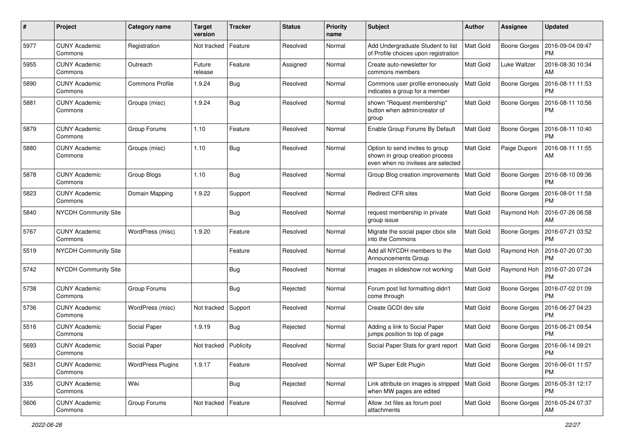| $\#$ | Project                         | <b>Category name</b>     | <b>Target</b><br>version | <b>Tracker</b> | <b>Status</b> | <b>Priority</b><br>name | <b>Subject</b>                                                                                           | Author           | <b>Assignee</b>     | <b>Updated</b>                |
|------|---------------------------------|--------------------------|--------------------------|----------------|---------------|-------------------------|----------------------------------------------------------------------------------------------------------|------------------|---------------------|-------------------------------|
| 5977 | <b>CUNY Academic</b><br>Commons | Registration             | Not tracked              | Feature        | Resolved      | Normal                  | Add Undergraduate Student to list<br>of Profile choices upon registration                                | Matt Gold        | <b>Boone Gorges</b> | 2016-09-04 09:47<br><b>PM</b> |
| 5955 | <b>CUNY Academic</b><br>Commons | Outreach                 | Future<br>release        | Feature        | Assigned      | Normal                  | Create auto-newsletter for<br>commons members                                                            | Matt Gold        | Luke Waltzer        | 2016-08-30 10:34<br>AM        |
| 5890 | <b>CUNY Academic</b><br>Commons | Commons Profile          | 1.9.24                   | Bug            | Resolved      | Normal                  | Commons user profile erroneously<br>indicates a group for a member                                       | <b>Matt Gold</b> | <b>Boone Gorges</b> | 2016-08-11 11:53<br>PM        |
| 5881 | <b>CUNY Academic</b><br>Commons | Groups (misc)            | 1.9.24                   | <b>Bug</b>     | Resolved      | Normal                  | shown "Request membership"<br>button when admin/creator of<br>group                                      | <b>Matt Gold</b> | <b>Boone Gorges</b> | 2016-08-11 10:56<br><b>PM</b> |
| 5879 | <b>CUNY Academic</b><br>Commons | Group Forums             | 1.10                     | Feature        | Resolved      | Normal                  | Enable Group Forums By Default                                                                           | <b>Matt Gold</b> | <b>Boone Gorges</b> | 2016-08-11 10:40<br><b>PM</b> |
| 5880 | <b>CUNY Academic</b><br>Commons | Groups (misc)            | 1.10                     | Bug            | Resolved      | Normal                  | Option to send invites to group<br>shown in group creation process<br>even when no invitees are selected | Matt Gold        | Paige Dupont        | 2016-08-11 11:55<br>AM        |
| 5878 | <b>CUNY Academic</b><br>Commons | Group Blogs              | 1.10                     | Bug            | Resolved      | Normal                  | Group Blog creation improvements                                                                         | <b>Matt Gold</b> | Boone Gorges        | 2016-08-10 09:36<br>PM        |
| 5823 | <b>CUNY Academic</b><br>Commons | Domain Mapping           | 1.9.22                   | Support        | Resolved      | Normal                  | <b>Redirect CFR sites</b>                                                                                | Matt Gold        | Boone Gorges        | 2016-08-01 11:58<br><b>PM</b> |
| 5840 | <b>NYCDH Community Site</b>     |                          |                          | <b>Bug</b>     | Resolved      | Normal                  | request membership in private<br>group issue                                                             | <b>Matt Gold</b> | Raymond Hoh         | 2016-07-26 06:58<br>AM        |
| 5767 | <b>CUNY Academic</b><br>Commons | WordPress (misc)         | 1.9.20                   | Feature        | Resolved      | Normal                  | Migrate the social paper cbox site<br>into the Commons                                                   | Matt Gold        | <b>Boone Gorges</b> | 2016-07-21 03:52<br><b>PM</b> |
| 5519 | <b>NYCDH Community Site</b>     |                          |                          | Feature        | Resolved      | Normal                  | Add all NYCDH members to the<br>Announcements Group                                                      | Matt Gold        | Raymond Hoh         | 2016-07-20 07:30<br><b>PM</b> |
| 5742 | <b>NYCDH Community Site</b>     |                          |                          | Bug            | Resolved      | Normal                  | images in slideshow not working                                                                          | Matt Gold        | Raymond Hoh         | 2016-07-20 07:24<br><b>PM</b> |
| 5738 | <b>CUNY Academic</b><br>Commons | Group Forums             |                          | Bug            | Rejected      | Normal                  | Forum post list formatting didn't<br>come through                                                        | <b>Matt Gold</b> | <b>Boone Gorges</b> | 2016-07-02 01:09<br><b>PM</b> |
| 5736 | <b>CUNY Academic</b><br>Commons | WordPress (misc)         | Not tracked              | Support        | Resolved      | Normal                  | Create GCDI dev site                                                                                     | Matt Gold        | <b>Boone Gorges</b> | 2016-06-27 04:23<br><b>PM</b> |
| 5516 | <b>CUNY Academic</b><br>Commons | Social Paper             | 1.9.19                   | Bug            | Rejected      | Normal                  | Adding a link to Social Paper<br>jumps position to top of page                                           | <b>Matt Gold</b> | Boone Gorges        | 2016-06-21 09:54<br><b>PM</b> |
| 5693 | <b>CUNY Academic</b><br>Commons | Social Paper             | Not tracked              | Publicity      | Resolved      | Normal                  | Social Paper Stats for grant report                                                                      | Matt Gold        | Boone Gorges        | 2016-06-14 09:21<br>PM        |
| 5631 | <b>CUNY Academic</b><br>Commons | <b>WordPress Plugins</b> | 1.9.17                   | Feature        | Resolved      | Normal                  | WP Super Edit Plugin                                                                                     | Matt Gold        | Boone Gorges        | 2016-06-01 11:57<br><b>PM</b> |
| 335  | <b>CUNY Academic</b><br>Commons | Wiki                     |                          | Bug            | Rejected      | Normal                  | Link attribute on images is stripped<br>when MW pages are edited                                         | <b>Matt Gold</b> | Boone Gorges        | 2016-05-31 12:17<br><b>PM</b> |
| 5606 | <b>CUNY Academic</b><br>Commons | Group Forums             | Not tracked              | Feature        | Resolved      | Normal                  | Allow .txt files as forum post<br>attachments                                                            | Matt Gold        | <b>Boone Gorges</b> | 2016-05-24 07:37<br>AM        |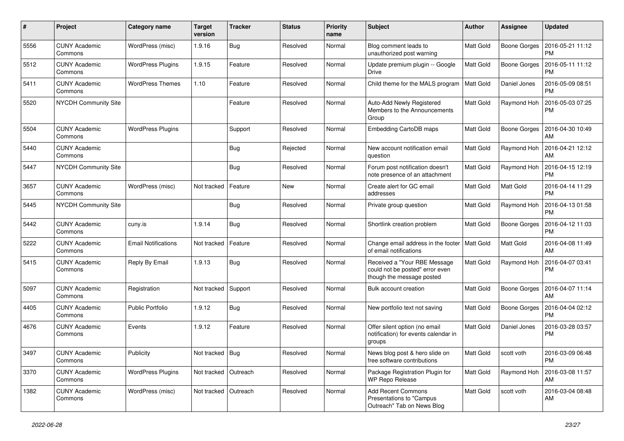| #    | Project                         | Category name              | <b>Target</b><br>version | <b>Tracker</b> | <b>Status</b> | <b>Priority</b><br>name | <b>Subject</b>                                                                               | Author           | <b>Assignee</b>     | <b>Updated</b>                |
|------|---------------------------------|----------------------------|--------------------------|----------------|---------------|-------------------------|----------------------------------------------------------------------------------------------|------------------|---------------------|-------------------------------|
| 5556 | <b>CUNY Academic</b><br>Commons | WordPress (misc)           | 1.9.16                   | <b>Bug</b>     | Resolved      | Normal                  | Blog comment leads to<br>unauthorized post warning                                           | <b>Matt Gold</b> | <b>Boone Gorges</b> | 2016-05-21 11:12<br><b>PM</b> |
| 5512 | <b>CUNY Academic</b><br>Commons | <b>WordPress Plugins</b>   | 1.9.15                   | Feature        | Resolved      | Normal                  | Update premium plugin -- Google<br>Drive                                                     | <b>Matt Gold</b> | <b>Boone Gorges</b> | 2016-05-11 11:12<br><b>PM</b> |
| 5411 | <b>CUNY Academic</b><br>Commons | <b>WordPress Themes</b>    | 1.10                     | Feature        | Resolved      | Normal                  | Child theme for the MALS program                                                             | <b>Matt Gold</b> | Daniel Jones        | 2016-05-09 08:51<br>PM        |
| 5520 | <b>NYCDH Community Site</b>     |                            |                          | Feature        | Resolved      | Normal                  | Auto-Add Newly Registered<br>Members to the Announcements<br>Group                           | <b>Matt Gold</b> | Raymond Hoh         | 2016-05-03 07:25<br><b>PM</b> |
| 5504 | <b>CUNY Academic</b><br>Commons | <b>WordPress Plugins</b>   |                          | Support        | Resolved      | Normal                  | Embedding CartoDB maps                                                                       | Matt Gold        | <b>Boone Gorges</b> | 2016-04-30 10:49<br>AM        |
| 5440 | <b>CUNY Academic</b><br>Commons |                            |                          | <b>Bug</b>     | Rejected      | Normal                  | New account notification email<br>question                                                   | <b>Matt Gold</b> | Raymond Hoh         | 2016-04-21 12:12<br>AM        |
| 5447 | <b>NYCDH Community Site</b>     |                            |                          | Bug            | Resolved      | Normal                  | Forum post notification doesn't<br>note presence of an attachment                            | <b>Matt Gold</b> | Raymond Hoh         | 2016-04-15 12:19<br><b>PM</b> |
| 3657 | <b>CUNY Academic</b><br>Commons | WordPress (misc)           | Not tracked              | Feature        | New           | Normal                  | Create alert for GC email<br>addresses                                                       | <b>Matt Gold</b> | Matt Gold           | 2016-04-14 11:29<br><b>PM</b> |
| 5445 | <b>NYCDH Community Site</b>     |                            |                          | Bug            | Resolved      | Normal                  | Private group question                                                                       | Matt Gold        | Raymond Hoh         | 2016-04-13 01:58<br><b>PM</b> |
| 5442 | <b>CUNY Academic</b><br>Commons | cuny.is                    | 1.9.14                   | Bug            | Resolved      | Normal                  | Shortlink creation problem                                                                   | <b>Matt Gold</b> | <b>Boone Gorges</b> | 2016-04-12 11:03<br><b>PM</b> |
| 5222 | <b>CUNY Academic</b><br>Commons | <b>Email Notifications</b> | Not tracked              | Feature        | Resolved      | Normal                  | Change email address in the footer<br>of email notifications                                 | <b>Matt Gold</b> | Matt Gold           | 2016-04-08 11:49<br>AM        |
| 5415 | <b>CUNY Academic</b><br>Commons | Reply By Email             | 1.9.13                   | Bug            | Resolved      | Normal                  | Received a "Your RBE Message<br>could not be posted" error even<br>though the message posted | <b>Matt Gold</b> | Raymond Hoh         | 2016-04-07 03:41<br><b>PM</b> |
| 5097 | <b>CUNY Academic</b><br>Commons | Registration               | Not tracked              | Support        | Resolved      | Normal                  | Bulk account creation                                                                        | Matt Gold        | Boone Gorges        | 2016-04-07 11:14<br>AM        |
| 4405 | <b>CUNY Academic</b><br>Commons | Public Portfolio           | 1.9.12                   | <b>Bug</b>     | Resolved      | Normal                  | New portfolio text not saving                                                                | <b>Matt Gold</b> | Boone Gorges        | 2016-04-04 02:12<br><b>PM</b> |
| 4676 | <b>CUNY Academic</b><br>Commons | Events                     | 1.9.12                   | Feature        | Resolved      | Normal                  | Offer silent option (no email<br>notification) for events calendar in<br>groups              | <b>Matt Gold</b> | Daniel Jones        | 2016-03-28 03:57<br><b>PM</b> |
| 3497 | <b>CUNY Academic</b><br>Commons | Publicity                  | Not tracked Bug          |                | Resolved      | Normal                  | News blog post & hero slide on<br>free software contributions                                | Matt Gold        | scott voth          | 2016-03-09 06:48<br><b>PM</b> |
| 3370 | <b>CUNY Academic</b><br>Commons | <b>WordPress Plugins</b>   | Not tracked   Outreach   |                | Resolved      | Normal                  | Package Registration Plugin for<br>WP Repo Release                                           | Matt Gold        | Raymond Hoh         | 2016-03-08 11:57<br>AM        |
| 1382 | <b>CUNY Academic</b><br>Commons | WordPress (misc)           | Not tracked   Outreach   |                | Resolved      | Normal                  | <b>Add Recent Commons</b><br>Presentations to "Campus<br>Outreach" Tab on News Blog          | Matt Gold        | scott voth          | 2016-03-04 08:48<br>AM        |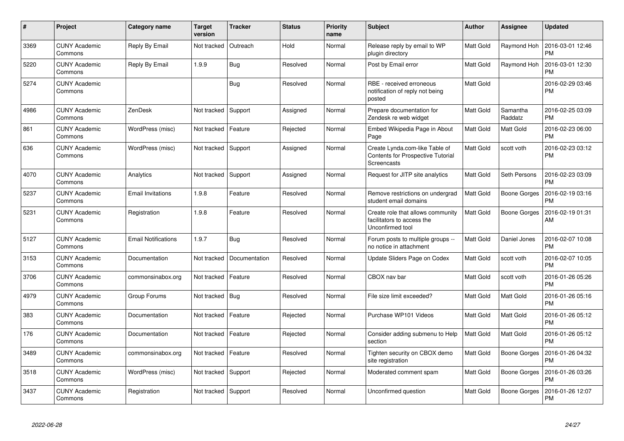| #    | Project                         | Category name              | <b>Target</b><br>version | <b>Tracker</b> | <b>Status</b> | <b>Priority</b><br>name | <b>Subject</b>                                                                      | <b>Author</b>    | <b>Assignee</b>     | <b>Updated</b>                |
|------|---------------------------------|----------------------------|--------------------------|----------------|---------------|-------------------------|-------------------------------------------------------------------------------------|------------------|---------------------|-------------------------------|
| 3369 | <b>CUNY Academic</b><br>Commons | Reply By Email             | Not tracked              | Outreach       | Hold          | Normal                  | Release reply by email to WP<br>plugin directory                                    | Matt Gold        | Raymond Hoh         | 2016-03-01 12:46<br><b>PM</b> |
| 5220 | CUNY Academic<br>Commons        | Reply By Email             | 1.9.9                    | <b>Bug</b>     | Resolved      | Normal                  | Post by Email error                                                                 | Matt Gold        | Raymond Hoh         | 2016-03-01 12:30<br><b>PM</b> |
| 5274 | <b>CUNY Academic</b><br>Commons |                            |                          | <b>Bug</b>     | Resolved      | Normal                  | RBE - received erroneous<br>notification of reply not being<br>posted               | <b>Matt Gold</b> |                     | 2016-02-29 03:46<br><b>PM</b> |
| 4986 | <b>CUNY Academic</b><br>Commons | ZenDesk                    | Not tracked              | Support        | Assigned      | Normal                  | Prepare documentation for<br>Zendesk re web widget                                  | Matt Gold        | Samantha<br>Raddatz | 2016-02-25 03:09<br><b>PM</b> |
| 861  | <b>CUNY Academic</b><br>Commons | WordPress (misc)           | Not tracked              | Feature        | Rejected      | Normal                  | Embed Wikipedia Page in About<br>Page                                               | <b>Matt Gold</b> | Matt Gold           | 2016-02-23 06:00<br><b>PM</b> |
| 636  | <b>CUNY Academic</b><br>Commons | WordPress (misc)           | Not tracked Support      |                | Assigned      | Normal                  | Create Lynda.com-like Table of<br>Contents for Prospective Tutorial<br>Screencasts  | Matt Gold        | scott voth          | 2016-02-23 03:12<br><b>PM</b> |
| 4070 | <b>CUNY Academic</b><br>Commons | Analytics                  | Not tracked              | Support        | Assigned      | Normal                  | Request for JITP site analytics                                                     | Matt Gold        | Seth Persons        | 2016-02-23 03:09<br><b>PM</b> |
| 5237 | <b>CUNY Academic</b><br>Commons | <b>Email Invitations</b>   | 1.9.8                    | Feature        | Resolved      | Normal                  | Remove restrictions on undergrad<br>student email domains                           | Matt Gold        | Boone Gorges        | 2016-02-19 03:16<br><b>PM</b> |
| 5231 | <b>CUNY Academic</b><br>Commons | Registration               | 1.9.8                    | Feature        | Resolved      | Normal                  | Create role that allows community<br>facilitators to access the<br>Unconfirmed tool | Matt Gold        | Boone Gorges        | 2016-02-19 01:31<br>AM        |
| 5127 | <b>CUNY Academic</b><br>Commons | <b>Email Notifications</b> | 1.9.7                    | <b>Bug</b>     | Resolved      | Normal                  | Forum posts to multiple groups --<br>no notice in attachment                        | Matt Gold        | Daniel Jones        | 2016-02-07 10:08<br><b>PM</b> |
| 3153 | <b>CUNY Academic</b><br>Commons | Documentation              | Not tracked              | Documentation  | Resolved      | Normal                  | Update Sliders Page on Codex                                                        | Matt Gold        | scott voth          | 2016-02-07 10:05<br><b>PM</b> |
| 3706 | <b>CUNY Academic</b><br>Commons | commonsinabox.org          | Not tracked              | Feature        | Resolved      | Normal                  | CBOX nav bar                                                                        | Matt Gold        | scott voth          | 2016-01-26 05:26<br><b>PM</b> |
| 4979 | <b>CUNY Academic</b><br>Commons | Group Forums               | Not tracked              | Bug            | Resolved      | Normal                  | File size limit exceeded?                                                           | Matt Gold        | Matt Gold           | 2016-01-26 05:16<br><b>PM</b> |
| 383  | <b>CUNY Academic</b><br>Commons | Documentation              | Not tracked              | Feature        | Rejected      | Normal                  | Purchase WP101 Videos                                                               | Matt Gold        | Matt Gold           | 2016-01-26 05:12<br><b>PM</b> |
| 176  | <b>CUNY Academic</b><br>Commons | Documentation              | Not tracked              | Feature        | Rejected      | Normal                  | Consider adding submenu to Help<br>section                                          | Matt Gold        | Matt Gold           | 2016-01-26 05:12<br><b>PM</b> |
| 3489 | <b>CUNY Academic</b><br>Commons | commonsinabox.org          | Not tracked   Feature    |                | Resolved      | Normal                  | Tighten security on CBOX demo<br>site registration                                  | Matt Gold        | Boone Gorges        | 2016-01-26 04:32<br><b>PM</b> |
| 3518 | <b>CUNY Academic</b><br>Commons | WordPress (misc)           | Not tracked Support      |                | Rejected      | Normal                  | Moderated comment spam                                                              | Matt Gold        | Boone Gorges        | 2016-01-26 03:26<br>PM        |
| 3437 | <b>CUNY Academic</b><br>Commons | Registration               | Not tracked              | Support        | Resolved      | Normal                  | Unconfirmed question                                                                | Matt Gold        | Boone Gorges        | 2016-01-26 12:07<br><b>PM</b> |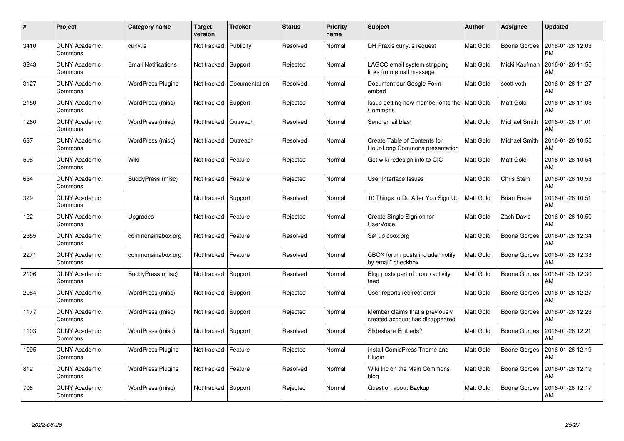| #    | Project                         | <b>Category name</b>       | <b>Target</b><br>version | <b>Tracker</b> | <b>Status</b> | <b>Priority</b><br>name | <b>Subject</b>                                                     | <b>Author</b>    | Assignee            | <b>Updated</b>                |
|------|---------------------------------|----------------------------|--------------------------|----------------|---------------|-------------------------|--------------------------------------------------------------------|------------------|---------------------|-------------------------------|
| 3410 | <b>CUNY Academic</b><br>Commons | cuny.is                    | Not tracked              | Publicity      | Resolved      | Normal                  | DH Praxis cuny.is request                                          | <b>Matt Gold</b> | Boone Gorges        | 2016-01-26 12:03<br><b>PM</b> |
| 3243 | <b>CUNY Academic</b><br>Commons | <b>Email Notifications</b> | Not tracked              | Support        | Rejected      | Normal                  | LAGCC email system stripping<br>links from email message           | <b>Matt Gold</b> | Micki Kaufman       | 2016-01-26 11:55<br>AM        |
| 3127 | <b>CUNY Academic</b><br>Commons | <b>WordPress Plugins</b>   | Not tracked              | Documentation  | Resolved      | Normal                  | Document our Google Form<br>embed                                  | <b>Matt Gold</b> | scott voth          | 2016-01-26 11:27<br>AM        |
| 2150 | <b>CUNY Academic</b><br>Commons | WordPress (misc)           | Not tracked              | Support        | Rejected      | Normal                  | Issue getting new member onto the<br>Commons                       | Matt Gold        | Matt Gold           | 2016-01-26 11:03<br>AM        |
| 1260 | <b>CUNY Academic</b><br>Commons | WordPress (misc)           | Not tracked              | Outreach       | Resolved      | Normal                  | Send email blast                                                   | <b>Matt Gold</b> | Michael Smith       | 2016-01-26 11:01<br>AM        |
| 637  | <b>CUNY Academic</b><br>Commons | WordPress (misc)           | Not tracked              | Outreach       | Resolved      | Normal                  | Create Table of Contents for<br>Hour-Long Commons presentation     | Matt Gold        | Michael Smith       | 2016-01-26 10:55<br>AM        |
| 598  | <b>CUNY Academic</b><br>Commons | Wiki                       | Not tracked              | Feature        | Rejected      | Normal                  | Get wiki redesign info to CIC                                      | Matt Gold        | Matt Gold           | 2016-01-26 10:54<br>AM        |
| 654  | <b>CUNY Academic</b><br>Commons | BuddyPress (misc)          | Not tracked              | Feature        | Rejected      | Normal                  | User Interface Issues                                              | <b>Matt Gold</b> | Chris Stein         | 2016-01-26 10:53<br>AM        |
| 329  | <b>CUNY Academic</b><br>Commons |                            | Not tracked              | Support        | Resolved      | Normal                  | 10 Things to Do After You Sign Up                                  | <b>Matt Gold</b> | <b>Brian Foote</b>  | 2016-01-26 10:51<br>AM        |
| 122  | <b>CUNY Academic</b><br>Commons | Upgrades                   | Not tracked              | Feature        | Rejected      | Normal                  | Create Single Sign on for<br><b>UserVoice</b>                      | Matt Gold        | Zach Davis          | 2016-01-26 10:50<br>AM        |
| 2355 | <b>CUNY Academic</b><br>Commons | commonsinabox.org          | Not tracked              | Feature        | Resolved      | Normal                  | Set up cbox.org                                                    | Matt Gold        | <b>Boone Gorges</b> | 2016-01-26 12:34<br>AM        |
| 2271 | <b>CUNY Academic</b><br>Commons | commonsinabox.org          | Not tracked              | Feature        | Resolved      | Normal                  | CBOX forum posts include "notify<br>by email" checkbox             | Matt Gold        | Boone Gorges        | 2016-01-26 12:33<br>AM        |
| 2106 | <b>CUNY Academic</b><br>Commons | BuddyPress (misc)          | Not tracked              | Support        | Resolved      | Normal                  | Blog posts part of group activity<br>feed                          | Matt Gold        | Boone Gorges        | 2016-01-26 12:30<br>AM        |
| 2084 | <b>CUNY Academic</b><br>Commons | WordPress (misc)           | Not tracked              | Support        | Rejected      | Normal                  | User reports redirect error                                        | Matt Gold        | <b>Boone Gorges</b> | 2016-01-26 12:27<br>AM        |
| 1177 | <b>CUNY Academic</b><br>Commons | WordPress (misc)           | Not tracked              | Support        | Rejected      | Normal                  | Member claims that a previously<br>created account has disappeared | <b>Matt Gold</b> | Boone Gorges        | 2016-01-26 12:23<br>AM        |
| 1103 | <b>CUNY Academic</b><br>Commons | WordPress (misc)           | Not tracked              | Support        | Resolved      | Normal                  | Slideshare Embeds?                                                 | <b>Matt Gold</b> | Boone Gorges        | 2016-01-26 12:21<br>AM        |
| 1095 | <b>CUNY Academic</b><br>Commons | <b>WordPress Plugins</b>   | Not tracked              | Feature        | Rejected      | Normal                  | Install ComicPress Theme and<br>Plugin                             | Matt Gold        | Boone Gorges        | 2016-01-26 12:19<br>AM        |
| 812  | <b>CUNY Academic</b><br>Commons | <b>WordPress Plugins</b>   | Not tracked              | Feature        | Resolved      | Normal                  | Wiki Inc on the Main Commons<br>blog                               | <b>Matt Gold</b> | Boone Gorges        | 2016-01-26 12:19<br>AM        |
| 708  | CUNY Academic<br>Commons        | WordPress (misc)           | Not tracked              | Support        | Rejected      | Normal                  | Question about Backup                                              | <b>Matt Gold</b> | Boone Gorges        | 2016-01-26 12:17<br>AM        |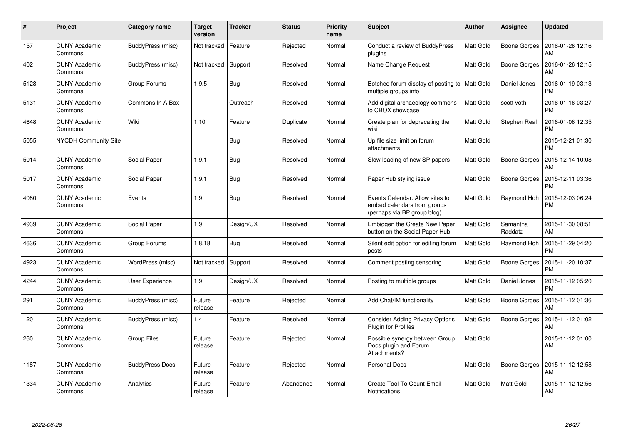| #    | Project                         | <b>Category name</b>   | <b>Target</b><br>version | <b>Tracker</b> | <b>Status</b> | <b>Priority</b><br>name | <b>Subject</b>                                                                                | <b>Author</b>    | Assignee            | <b>Updated</b>                |
|------|---------------------------------|------------------------|--------------------------|----------------|---------------|-------------------------|-----------------------------------------------------------------------------------------------|------------------|---------------------|-------------------------------|
| 157  | <b>CUNY Academic</b><br>Commons | BuddyPress (misc)      | Not tracked              | Feature        | Rejected      | Normal                  | Conduct a review of BuddyPress<br>plugins                                                     | <b>Matt Gold</b> | Boone Gorges        | 2016-01-26 12:16<br>AM        |
| 402  | <b>CUNY Academic</b><br>Commons | BuddyPress (misc)      | Not tracked              | Support        | Resolved      | Normal                  | Name Change Request                                                                           | Matt Gold        | Boone Gorges        | 2016-01-26 12:15<br>AM        |
| 5128 | <b>CUNY Academic</b><br>Commons | Group Forums           | 1.9.5                    | Bug            | Resolved      | Normal                  | Botched forum display of posting to<br>multiple groups info                                   | Matt Gold        | Daniel Jones        | 2016-01-19 03:13<br>PM        |
| 5131 | <b>CUNY Academic</b><br>Commons | Commons In A Box       |                          | Outreach       | Resolved      | Normal                  | Add digital archaeology commons<br>to CBOX showcase                                           | <b>Matt Gold</b> | scott voth          | 2016-01-16 03:27<br><b>PM</b> |
| 4648 | <b>CUNY Academic</b><br>Commons | Wiki                   | 1.10                     | Feature        | Duplicate     | Normal                  | Create plan for deprecating the<br>wiki                                                       | Matt Gold        | Stephen Real        | 2016-01-06 12:35<br><b>PM</b> |
| 5055 | <b>NYCDH Community Site</b>     |                        |                          | Bug            | Resolved      | Normal                  | Up file size limit on forum<br>attachments                                                    | Matt Gold        |                     | 2015-12-21 01:30<br><b>PM</b> |
| 5014 | <b>CUNY Academic</b><br>Commons | Social Paper           | 1.9.1                    | Bug            | Resolved      | Normal                  | Slow loading of new SP papers                                                                 | <b>Matt Gold</b> | Boone Gorges        | 2015-12-14 10:08<br>AM        |
| 5017 | <b>CUNY Academic</b><br>Commons | Social Paper           | 1.9.1                    | Bug            | Resolved      | Normal                  | Paper Hub styling issue                                                                       | Matt Gold        | <b>Boone Gorges</b> | 2015-12-11 03:36<br><b>PM</b> |
| 4080 | <b>CUNY Academic</b><br>Commons | Events                 | 1.9                      | Bug            | Resolved      | Normal                  | Events Calendar: Allow sites to<br>embed calendars from groups<br>(perhaps via BP group blog) | <b>Matt Gold</b> | Raymond Hoh         | 2015-12-03 06:24<br><b>PM</b> |
| 4939 | <b>CUNY Academic</b><br>Commons | Social Paper           | 1.9                      | Design/UX      | Resolved      | Normal                  | Embiggen the Create New Paper<br>button on the Social Paper Hub                               | Matt Gold        | Samantha<br>Raddatz | 2015-11-30 08:51<br>AM        |
| 4636 | <b>CUNY Academic</b><br>Commons | Group Forums           | 1.8.18                   | Bug            | Resolved      | Normal                  | Silent edit option for editing forum<br>posts                                                 | Matt Gold        | Raymond Hoh         | 2015-11-29 04:20<br><b>PM</b> |
| 4923 | <b>CUNY Academic</b><br>Commons | WordPress (misc)       | Not tracked              | Support        | Resolved      | Normal                  | Comment posting censoring                                                                     | Matt Gold        | Boone Gorges        | 2015-11-20 10:37<br><b>PM</b> |
| 4244 | <b>CUNY Academic</b><br>Commons | User Experience        | 1.9                      | Design/UX      | Resolved      | Normal                  | Posting to multiple groups                                                                    | Matt Gold        | Daniel Jones        | 2015-11-12 05:20<br><b>PM</b> |
| 291  | <b>CUNY Academic</b><br>Commons | BuddyPress (misc)      | Future<br>release        | Feature        | Rejected      | Normal                  | Add Chat/IM functionality                                                                     | <b>Matt Gold</b> | Boone Gorges        | 2015-11-12 01:36<br>AM        |
| 120  | <b>CUNY Academic</b><br>Commons | BuddyPress (misc)      | 1.4                      | Feature        | Resolved      | Normal                  | <b>Consider Adding Privacy Options</b><br>Plugin for Profiles                                 | <b>Matt Gold</b> | Boone Gorges        | 2015-11-12 01:02<br>AM        |
| 260  | <b>CUNY Academic</b><br>Commons | <b>Group Files</b>     | Future<br>release        | Feature        | Rejected      | Normal                  | Possible synergy between Group<br>Docs plugin and Forum<br>Attachments?                       | Matt Gold        |                     | 2015-11-12 01:00<br>AM        |
| 1187 | <b>CUNY Academic</b><br>Commons | <b>BuddyPress Docs</b> | Future<br>release        | Feature        | Rejected      | Normal                  | <b>Personal Docs</b>                                                                          | Matt Gold        | Boone Gorges        | 2015-11-12 12:58<br>AM        |
| 1334 | <b>CUNY Academic</b><br>Commons | Analytics              | Future<br>release        | Feature        | Abandoned     | Normal                  | Create Tool To Count Email<br><b>Notifications</b>                                            | Matt Gold        | Matt Gold           | 2015-11-12 12:56<br>AM        |